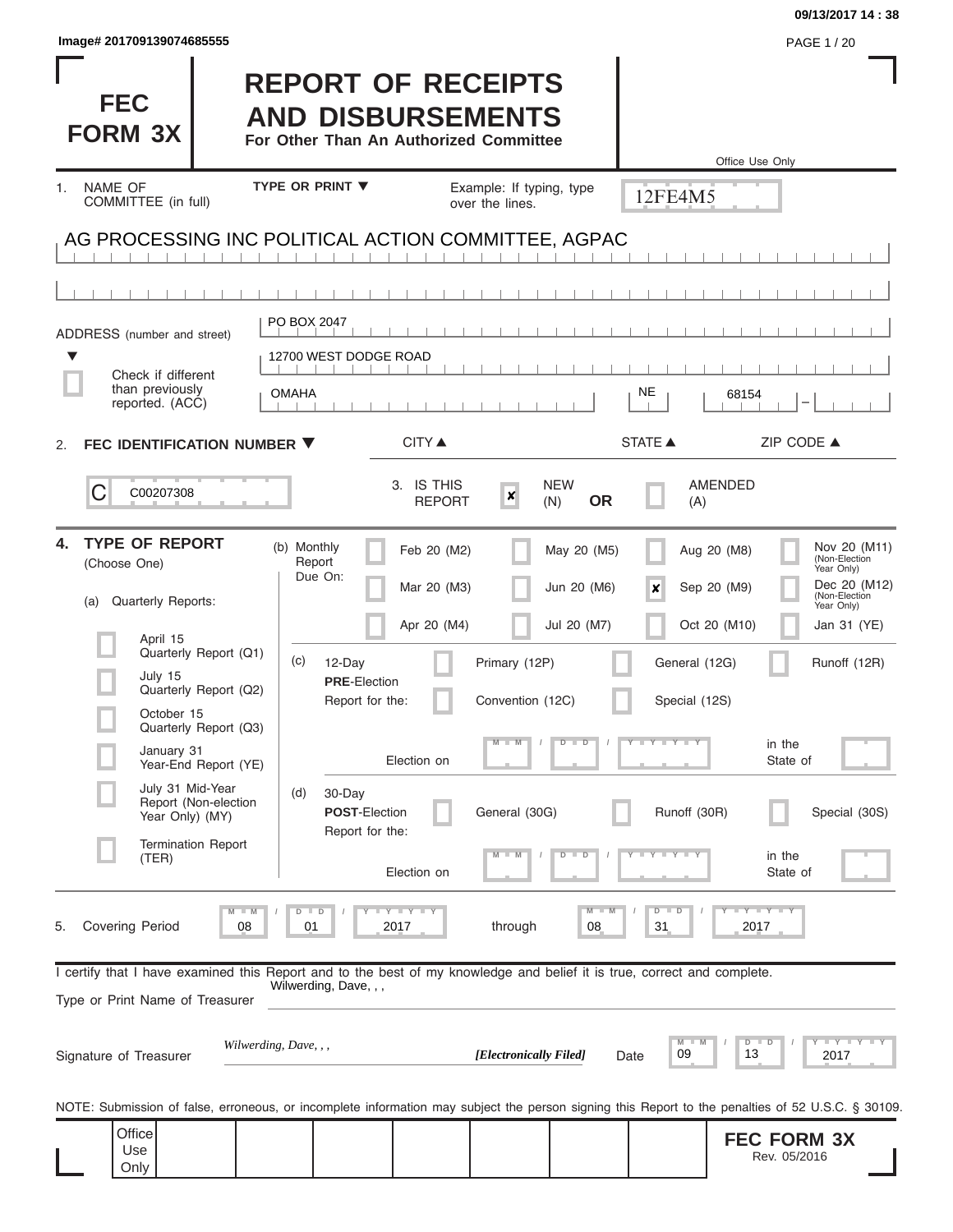| <b>FEC</b><br><b>FORM 3X</b>                                                                                               | <b>REPORT OF RECEIPTS</b><br><b>AND DISBURSEMENTS</b><br>For Other Than An Authorized Committee                                                   |                                                                                        |                                                | , <sub>U</sub> UL 1720<br>Office Use Only                                                  |
|----------------------------------------------------------------------------------------------------------------------------|---------------------------------------------------------------------------------------------------------------------------------------------------|----------------------------------------------------------------------------------------|------------------------------------------------|--------------------------------------------------------------------------------------------|
| <b>NAME OF</b><br>1.<br>COMMITTEE (in full)                                                                                | <b>TYPE OR PRINT ▼</b>                                                                                                                            | Example: If typing, type<br>over the lines.                                            | 12FE4M5                                        |                                                                                            |
|                                                                                                                            | AG PROCESSING INC POLITICAL ACTION COMMITTEE, AGPAC                                                                                               |                                                                                        |                                                |                                                                                            |
|                                                                                                                            |                                                                                                                                                   |                                                                                        |                                                |                                                                                            |
| ADDRESS (number and street)                                                                                                | PO BOX 2047<br>12700 WEST DODGE ROAD                                                                                                              |                                                                                        |                                                |                                                                                            |
| Check if different<br>than previously<br>reported. (ACC)                                                                   | <b>OMAHA</b>                                                                                                                                      |                                                                                        | NE<br>68154                                    |                                                                                            |
| FEC IDENTIFICATION NUMBER ▼<br>2.                                                                                          | <b>CITY ▲</b>                                                                                                                                     |                                                                                        | STATE A                                        | ZIP CODE ▲                                                                                 |
| C<br>C00207308                                                                                                             | 3. IS THIS                                                                                                                                        | <b>NEW</b><br>$\pmb{\times}$<br><b>OR</b><br><b>REPORT</b><br>(N)                      | AMENDED<br>(A)                                 |                                                                                            |
| <b>TYPE OF REPORT</b><br>4.<br>(Choose One)<br><b>Quarterly Reports:</b><br>(a)                                            | (b) Monthly<br>Report<br>Due On:                                                                                                                  | Feb 20 (M2)<br>May 20 (M5)<br>Mar 20 (M3)<br>Jun 20 (M6)                               | Aug 20 (M8)<br>Sep 20 (M9)<br>×                | Nov 20 (M11)<br>(Non-Election<br>Year Only)<br>Dec 20 (M12)<br>(Non-Election<br>Year Only) |
| April 15<br>Quarterly Report (Q1)<br>July 15<br>Quarterly Report (Q2)<br>October 15<br>Quarterly Report (Q3)<br>January 31 | (c)<br>12-Day<br><b>PRE-Election</b><br>Report for the:                                                                                           | Apr 20 (M4)<br>Jul 20 (M7)<br>Primary (12P)<br>Convention (12C)<br>$M$ $M$ $I$ $D$ $D$ | Oct 20 (M10)<br>General (12G)<br>Special (12S) | Jan 31 (YE)<br>Runoff (12R)<br>in the                                                      |
| Year-End Report (YE)<br>July 31 Mid-Year<br>Report (Non-election<br>Year Only) (MY)<br><b>Termination Report</b><br>(TER)  | Election on<br>(d)<br>30-Day<br>POST-Election<br>Report for the:<br>Election on                                                                   | General (30G)<br>$D$ $D$                                                               | Runoff (30R)<br>$T$ $Y$ $Y$ $Y$ $Y$ $Y$        | State of<br>Special (30S)<br>in the<br>State of                                            |
| Covering Period<br>5.                                                                                                      | $M$ $M$<br>$D$ $D$<br>Y I Y I Y<br>08<br>01<br>2017                                                                                               | $M - M$<br>through<br>08                                                               | $D$ $D$<br>31                                  | $T$ $Y$ $T$ $Y$ $T$ $Y$<br>2017                                                            |
| Type or Print Name of Treasurer                                                                                            | I certify that I have examined this Report and to the best of my knowledge and belief it is true, correct and complete.<br>Wilwerding, Dave, , ,  |                                                                                        |                                                |                                                                                            |
| Signature of Treasurer                                                                                                     | Wilwerding, Dave, , ,                                                                                                                             | [Electronically Filed]                                                                 | $M$ M<br>09<br>Date                            | $Y = Y = Y + Y + Y$<br>$D$ $D$<br>13<br>2017                                               |
|                                                                                                                            | NOTE: Submission of false, erroneous, or incomplete information may subject the person signing this Report to the penalties of 52 U.S.C. § 30109. |                                                                                        |                                                |                                                                                            |
| Office<br>Use<br>Only                                                                                                      |                                                                                                                                                   |                                                                                        |                                                | <b>FEC FORM 3X</b><br>Rev. 05/2016                                                         |

**Image# 201709139074685555** PAGE 1 / 20

**09/13/2017 14 : 38**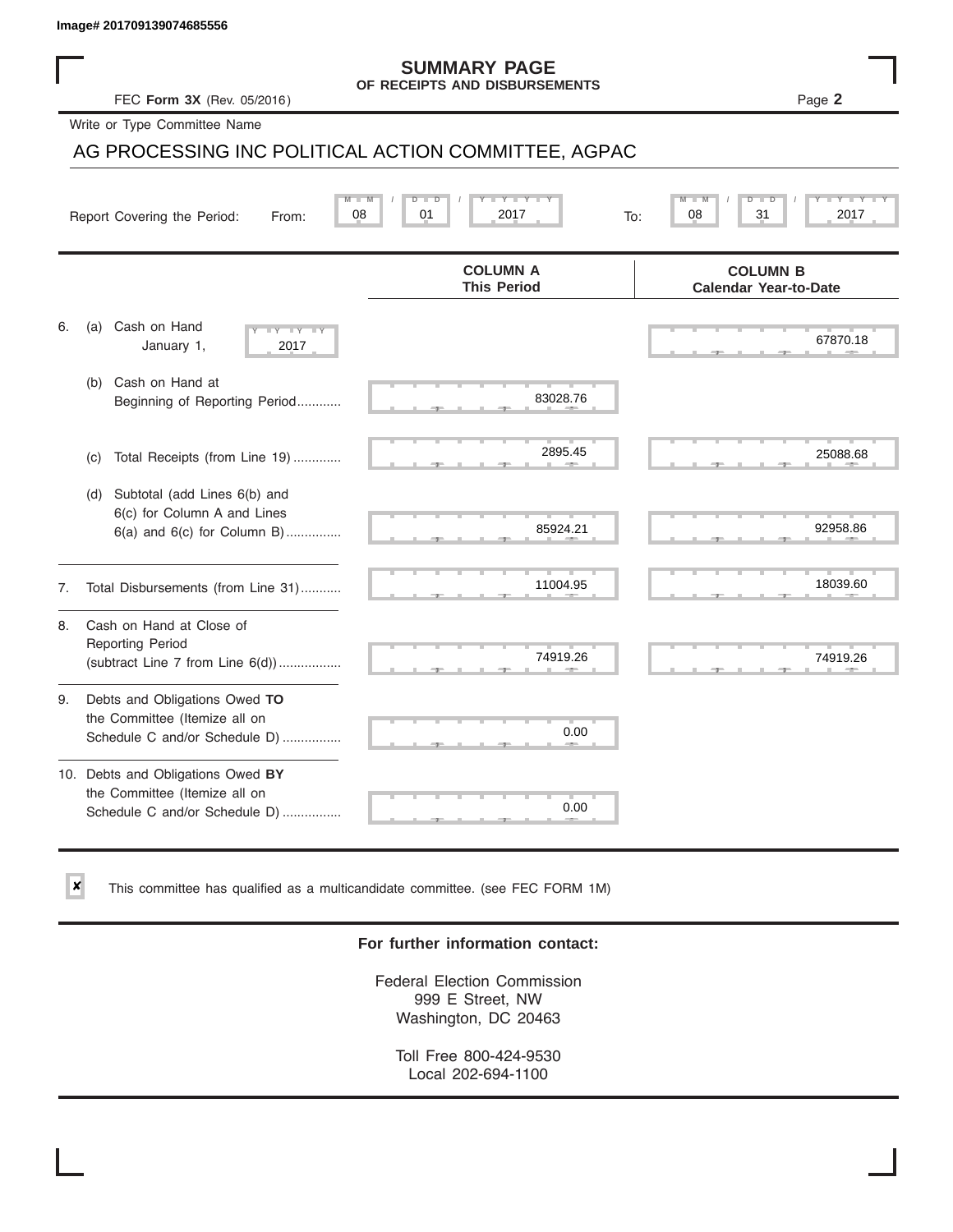✘

#### **SUMMARY PAGE OF RECEIPTS AND DISBURSEMENTS**

FEC **Form 3X** (Rev. 05/2016) Page **2**

Write or Type Committee Name

# AG PROCESSING INC POLITICAL ACTION COMMITTEE, AGPAC Image# 201709139074685556<br>
FEC Form 3X (Rev. 05/2016)<br>
OF RECEIPTS AND DISBURSEMENTS<br>
Write or Type Committee Name<br>
AG PROCESSING INC POLITICAL ACTION COMMITTEE, AGPAC<br>
Report Covering the Period: From: 08 01 2017<br>
To: 08

|    | $M -$<br>08<br>Report Covering the Period:<br>From:                                                 | $D$ $\Box$<br>Y I Y I<br>$\overline{D}$<br>01<br>2017<br>To: | $Y = Y + Y$<br>$M - M$<br>$D$ $D$<br>31<br>08<br>2017 |
|----|-----------------------------------------------------------------------------------------------------|--------------------------------------------------------------|-------------------------------------------------------|
|    |                                                                                                     | <b>COLUMN A</b><br><b>This Period</b>                        | <b>COLUMN B</b><br><b>Calendar Year-to-Date</b>       |
| 6. | Cash on Hand<br>(a)<br>$-Y$ $-Y$ $-YY$<br>January 1,<br>2017                                        |                                                              | 67870.18                                              |
|    | Cash on Hand at<br>(b)<br>Beginning of Reporting Period                                             | 83028.76                                                     |                                                       |
|    | Total Receipts (from Line 19)<br>(c)                                                                | 2895.45                                                      | 25088.68                                              |
|    | Subtotal (add Lines 6(b) and<br>(d)<br>6(c) for Column A and Lines<br>6(a) and 6(c) for Column B)   | 85924.21                                                     | 92958.86                                              |
| 7. | Total Disbursements (from Line 31)                                                                  | 11004.95                                                     | 18039.60                                              |
| 8. | Cash on Hand at Close of<br><b>Reporting Period</b><br>(subtract Line $7$ from Line $6(d)$ )        | 74919.26                                                     | 74919.26                                              |
| 9. | Debts and Obligations Owed TO<br>the Committee (Itemize all on<br>Schedule C and/or Schedule D)     | 0.00                                                         |                                                       |
|    | 10. Debts and Obligations Owed BY<br>the Committee (Itemize all on<br>Schedule C and/or Schedule D) | 0.00                                                         |                                                       |

This committee has qualified as a multicandidate committee. (see FEC FORM 1M)

### **For further information contact:**

Federal Election Commission 999 E Street, NW Washington, DC 20463

Toll Free 800-424-9530 Local 202-694-1100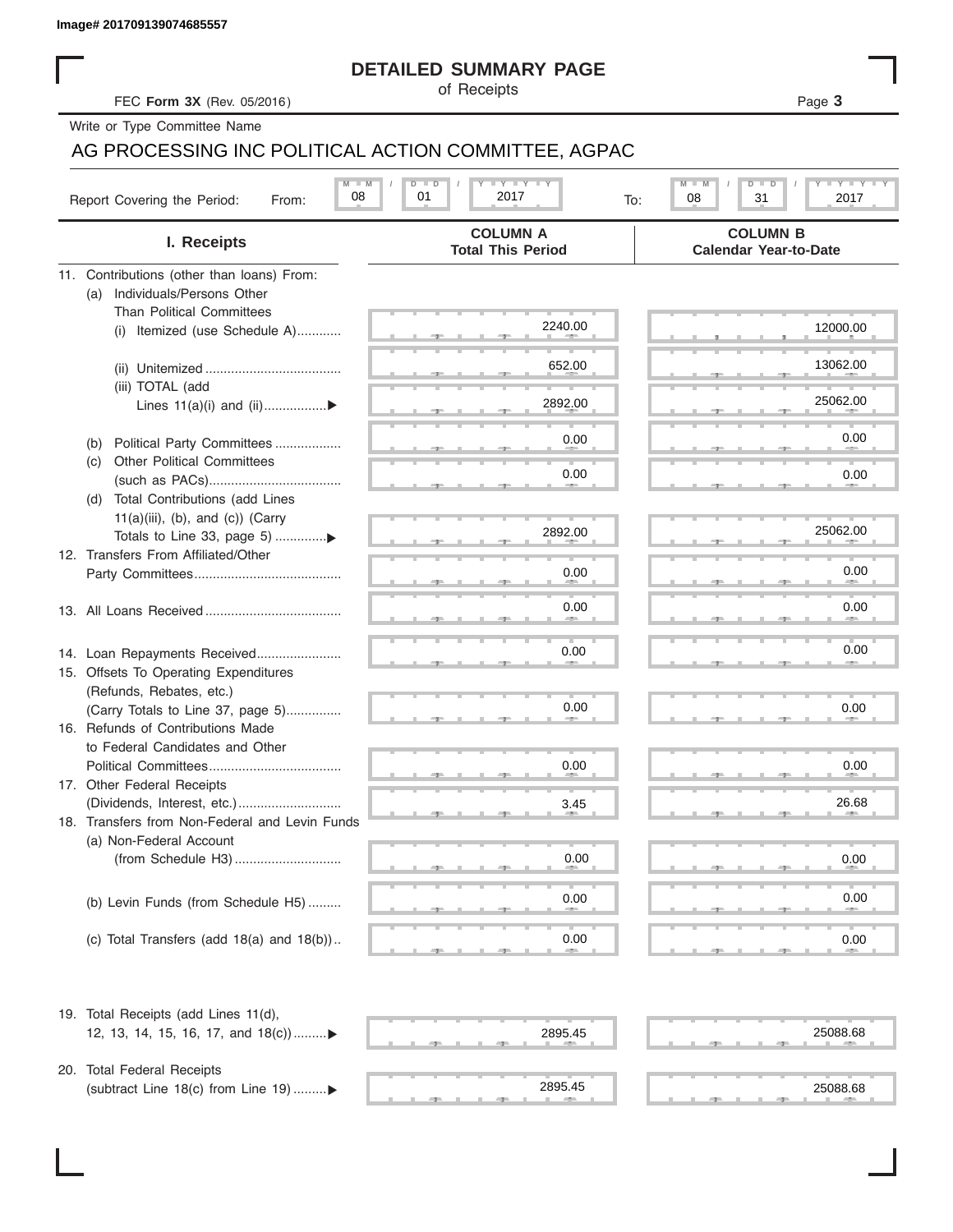|  | Image# 201709139074685557 |
|--|---------------------------|
|  |                           |

### **DETAILED SUMMARY PAGE**

### AG PROCESSING INC POLITICAL ACTION COMMITTEE, AGPAC

|                                                                        | <b>DETAILED SUMMARY PAGE</b>                                     |                                                                         |
|------------------------------------------------------------------------|------------------------------------------------------------------|-------------------------------------------------------------------------|
| FEC Form 3X (Rev. 05/2016)                                             | of Receipts                                                      | Page 3                                                                  |
| Write or Type Committee Name                                           |                                                                  |                                                                         |
|                                                                        | AG PROCESSING INC POLITICAL ACTION COMMITTEE, AGPAC              |                                                                         |
| Report Covering the Period:<br>From:                                   | <b>LY LY LY</b><br>$M$ $M$<br>$D$ $D$<br>01<br>08<br>2017<br>To: | $T - Y$ $T - Y$ $T - Y$<br>M<br>D<br>$\overline{D}$<br>08<br>31<br>2017 |
| I. Receipts                                                            | <b>COLUMN A</b><br><b>Total This Period</b>                      | <b>COLUMN B</b><br><b>Calendar Year-to-Date</b>                         |
| 11. Contributions (other than loans) From:                             |                                                                  |                                                                         |
| Individuals/Persons Other<br>(a)                                       |                                                                  |                                                                         |
| <b>Than Political Committees</b><br>(i) Itemized (use Schedule A)      | 2240.00                                                          | 12000.00                                                                |
|                                                                        |                                                                  |                                                                         |
|                                                                        | 652.00                                                           | 13062.00                                                                |
| (iii) TOTAL (add                                                       |                                                                  |                                                                         |
| Lines 11(a)(i) and (ii)▶                                               | 2892.00                                                          | 25062.00                                                                |
| Political Party Committees                                             | 0.00                                                             | 0.00                                                                    |
| (b)<br><b>Other Political Committees</b><br>(C)                        |                                                                  |                                                                         |
|                                                                        | 0.00                                                             | 0.00                                                                    |
| Total Contributions (add Lines<br>(d)                                  |                                                                  |                                                                         |
| $11(a)(iii)$ , (b), and (c)) (Carry                                    |                                                                  | 25062.00                                                                |
| Totals to Line 33, page 5) ▶                                           | 2892.00                                                          |                                                                         |
| 12. Transfers From Affiliated/Other                                    | 0.00                                                             | 0.00                                                                    |
|                                                                        |                                                                  |                                                                         |
|                                                                        | 0.00                                                             | 0.00                                                                    |
|                                                                        |                                                                  |                                                                         |
| 14. Loan Repayments Received                                           | 0.00                                                             | 0.00                                                                    |
| 15. Offsets To Operating Expenditures                                  |                                                                  |                                                                         |
| (Refunds, Rebates, etc.)                                               |                                                                  |                                                                         |
| (Carry Totals to Line 37, page 5)<br>16. Refunds of Contributions Made | 0.00                                                             | 0.00                                                                    |
| to Federal Candidates and Other                                        |                                                                  |                                                                         |
| Political Committees                                                   | 0.00                                                             | 0.00                                                                    |
| 17. Other Federal Receipts                                             |                                                                  |                                                                         |
|                                                                        | 3.45                                                             | 26.68                                                                   |
| 18. Transfers from Non-Federal and Levin Funds                         |                                                                  |                                                                         |
| (a) Non-Federal Account                                                | 0.00                                                             | 0.00                                                                    |
|                                                                        |                                                                  |                                                                         |
| (b) Levin Funds (from Schedule H5)                                     | 0.00                                                             | 0.00                                                                    |
|                                                                        |                                                                  |                                                                         |
| (c) Total Transfers (add $18(a)$ and $18(b)$ )                         | 0.00                                                             | 0.00                                                                    |
| 19. Total Receipts (add Lines 11(d),                                   |                                                                  |                                                                         |
| 12, 13, 14, 15, 16, 17, and 18(c)                                      | 2895.45                                                          | 25088.68                                                                |
|                                                                        |                                                                  |                                                                         |
| 20. Total Federal Receipts                                             |                                                                  |                                                                         |
| (subtract Line 18(c) from Line 19)▶                                    | 2895.45                                                          | 25088.68                                                                |

 $2895.45$  ,  $25088.6$ 

2895.45 25088.68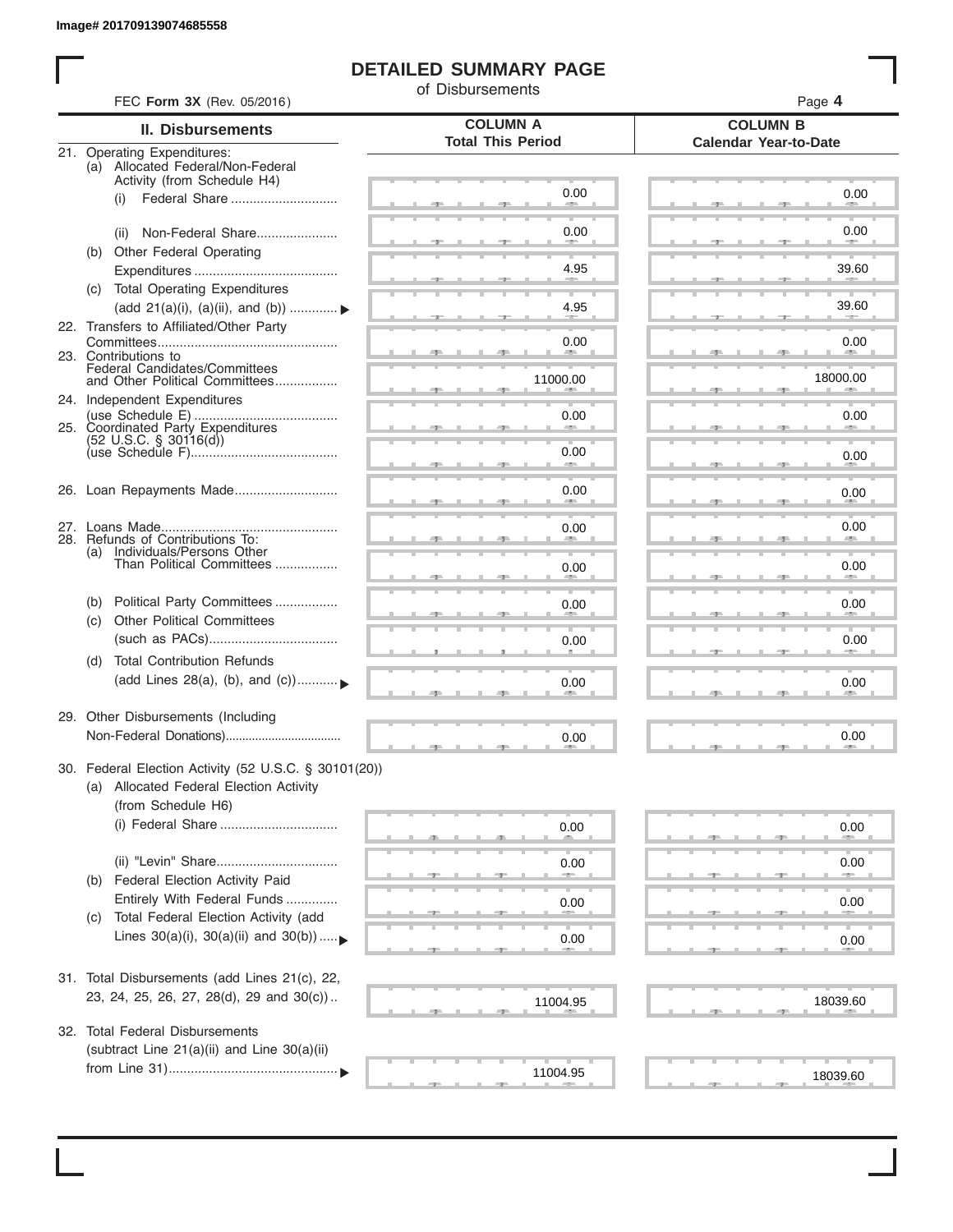I

### **DETAILED SUMMARY PAGE**

of Disbursements

| FEC Form 3X (Rev. 05/2016)                                                                                             |                                             | Page 4                                          |
|------------------------------------------------------------------------------------------------------------------------|---------------------------------------------|-------------------------------------------------|
| <b>II. Disbursements</b>                                                                                               | <b>COLUMN A</b><br><b>Total This Period</b> | <b>COLUMN B</b><br><b>Calendar Year-to-Date</b> |
| 21. Operating Expenditures:<br>(a) Allocated Federal/Non-Federal<br>Activity (from Schedule H4)                        |                                             |                                                 |
| (i)                                                                                                                    | 0.00                                        | 0.00                                            |
| Non-Federal Share<br>(ii)                                                                                              | 0.00                                        | 0.00                                            |
| (b) Other Federal Operating                                                                                            | 4.95                                        | 39.60                                           |
| (c) Total Operating Expenditures<br>(add 21(a)(i), (a)(ii), and (b))  ▶                                                | 4.95                                        | 39.60                                           |
| 22. Transfers to Affiliated/Other Party                                                                                |                                             |                                                 |
| 23. Contributions to                                                                                                   | 0.00                                        | 0.00<br><b>Allen</b>                            |
| Federal Candidates/Committees<br>and Other Political Committees<br>24. Independent Expenditures                        | 11000.00                                    | 18000.00                                        |
|                                                                                                                        | 0.00                                        | 0.00                                            |
| $(52 \text{ U.S.C. }$ § 30116(d))                                                                                      | 0.00<br><b>Allen</b>                        | 0.00                                            |
| 26. Loan Repayments Made                                                                                               | 0.00                                        | 0.00                                            |
|                                                                                                                        | 0.00                                        | 0.00                                            |
| 28. Refunds of Contributions To:<br>(a) Individuals/Persons Other<br>Than Political Committees                         |                                             |                                                 |
|                                                                                                                        | 0.00                                        | 0.00                                            |
| Political Party Committees<br>(b)<br><b>Other Political Committees</b><br>(c)                                          | 0.00                                        | 0.00                                            |
| <b>Total Contribution Refunds</b><br>(d)                                                                               | 0.00                                        | 0.00                                            |
| (add Lines 28(a), (b), and (c))                                                                                        | 0.00                                        | 0.00                                            |
| 29. Other Disbursements (Including                                                                                     |                                             | 0.00                                            |
|                                                                                                                        | 0.00                                        |                                                 |
| 30. Federal Election Activity (52 U.S.C. § 30101(20))<br>(a) Allocated Federal Election Activity<br>(from Schedule H6) |                                             |                                                 |
| (i) Federal Share                                                                                                      | 0.00                                        | 0.00                                            |
|                                                                                                                        | 0.00                                        | 0.00                                            |
| Federal Election Activity Paid<br>(b)<br>Entirely With Federal Funds                                                   | 0.00                                        | 0.00                                            |
| Total Federal Election Activity (add<br>(C)<br>Lines $30(a)(i)$ , $30(a)(ii)$ and $30(b))$                             | 0.00                                        |                                                 |
|                                                                                                                        |                                             | 0.00                                            |
| 31. Total Disbursements (add Lines 21(c), 22,<br>23, 24, 25, 26, 27, 28(d), 29 and 30(c))                              | 11004.95                                    | 18039.60                                        |
| 32. Total Federal Disbursements                                                                                        |                                             |                                                 |
| (subtract Line 21(a)(ii) and Line 30(a)(ii)                                                                            |                                             |                                                 |
|                                                                                                                        | 11004.95                                    | 18039.60                                        |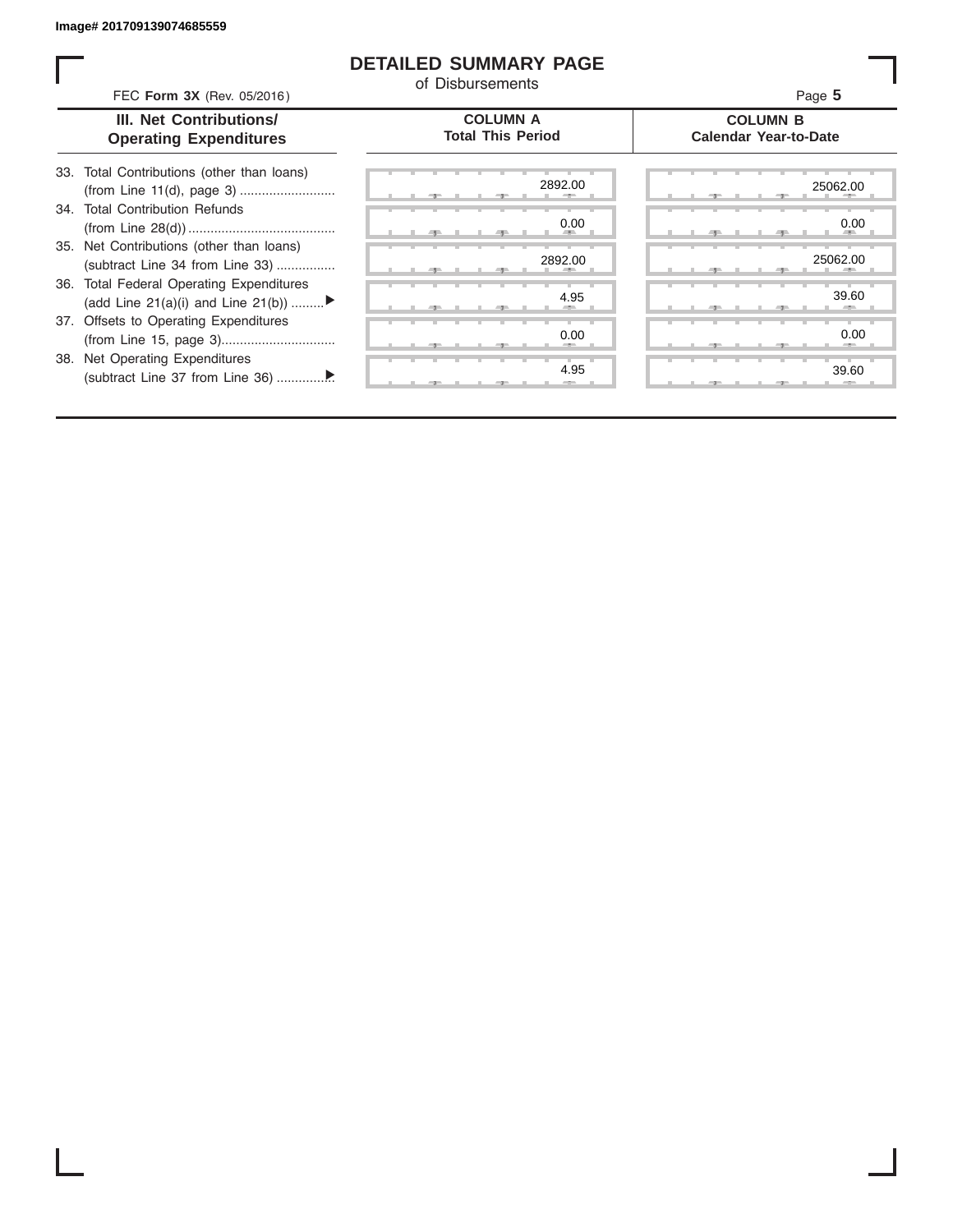ı

### **DETAILED SUMMARY PAGE**

of Disbursements

|     | FEC Form 3X (Rev. 05/2016)<br><b>III. Net Contributions/</b><br><b>Operating Expenditures</b> | <b>COLUMN A</b><br><b>Total This Period</b> | Page 5<br><b>COLUMN B</b><br><b>Calendar Year-to-Date</b> |
|-----|-----------------------------------------------------------------------------------------------|---------------------------------------------|-----------------------------------------------------------|
| 33. | Total Contributions (other than loans)                                                        |                                             |                                                           |
|     | 34. Total Contribution Refunds                                                                | 2892.00                                     | 25062.00                                                  |
|     |                                                                                               | 0.00                                        | 0.00                                                      |
|     | 35. Net Contributions (other than loans)<br>(subtract Line 34 from Line 33)                   | 2892.00                                     | 25062.00                                                  |
|     | 36. Total Federal Operating Expenditures<br>(add Line 21(a)(i) and Line 21(b))                | 4.95                                        | 39.60                                                     |
|     | 37. Offsets to Operating Expenditures                                                         | 0.00                                        | 0.00                                                      |
|     | 38. Net Operating Expenditures                                                                | 4.95                                        | 39.60                                                     |
|     |                                                                                               |                                             |                                                           |

I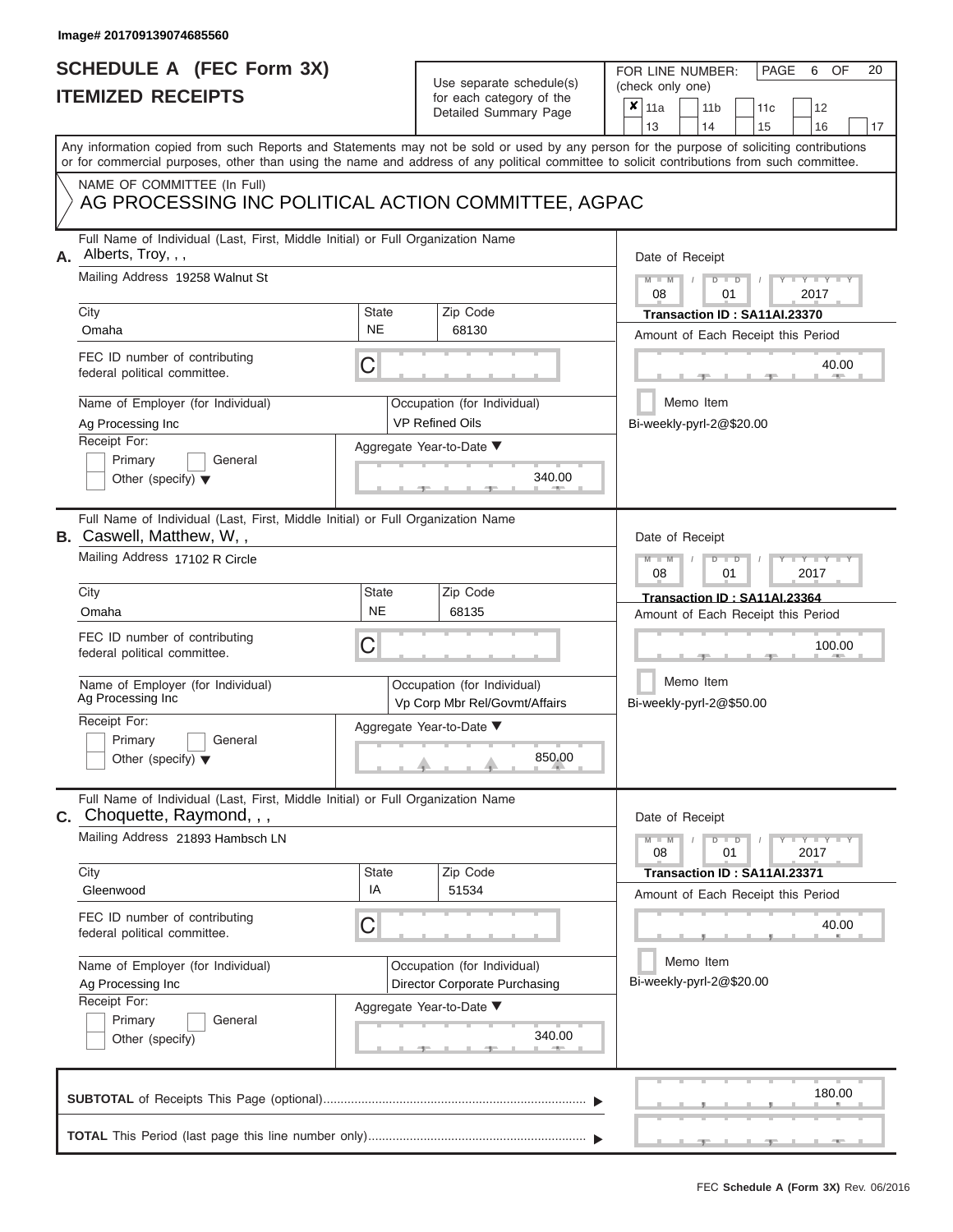# **SCHEDULE A (FEC Form 3X)**

# Use separate schedule(s)

| SCHEDULE A (FEC Form 3X)<br><b>ITEMIZED RECEIPTS</b>                                                                                       |                    | Use separate schedule(s)<br>for each category of the         | 20<br>FOR LINE NUMBER:<br>PAGE<br>OF<br>6<br>(check only one)<br>×<br>11a<br>11 <sub>b</sub><br>12<br>11 <sub>c</sub>                     |
|--------------------------------------------------------------------------------------------------------------------------------------------|--------------------|--------------------------------------------------------------|-------------------------------------------------------------------------------------------------------------------------------------------|
|                                                                                                                                            |                    | Detailed Summary Page                                        | 13<br>14<br>15<br>16<br>17                                                                                                                |
| or for commercial purposes, other than using the name and address of any political committee to solicit contributions from such committee. |                    |                                                              | Any information copied from such Reports and Statements may not be sold or used by any person for the purpose of soliciting contributions |
| NAME OF COMMITTEE (In Full)<br>AG PROCESSING INC POLITICAL ACTION COMMITTEE, AGPAC                                                         |                    |                                                              |                                                                                                                                           |
| Full Name of Individual (Last, First, Middle Initial) or Full Organization Name<br>A. Alberts, Troy, , ,                                   |                    |                                                              | Date of Receipt                                                                                                                           |
| Mailing Address 19258 Walnut St<br>City                                                                                                    | <b>State</b>       | Zip Code                                                     | $M - M$<br>$D$ $D$<br>Y TY T<br>08<br>2017<br>01<br>Transaction ID: SA11AI.23370                                                          |
| Omaha                                                                                                                                      | <b>NE</b>          | 68130                                                        | Amount of Each Receipt this Period                                                                                                        |
| FEC ID number of contributing<br>federal political committee.                                                                              | C                  |                                                              | 40.00                                                                                                                                     |
| Name of Employer (for Individual)<br>Ag Processing Inc                                                                                     |                    | Occupation (for Individual)<br><b>VP Refined Oils</b>        | Memo Item<br>Bi-weekly-pyrl-2@\$20.00                                                                                                     |
| Receipt For:                                                                                                                               |                    | Aggregate Year-to-Date ▼                                     |                                                                                                                                           |
| Primary<br>General<br>Other (specify) $\blacktriangledown$                                                                                 |                    | 340.00                                                       |                                                                                                                                           |
| Full Name of Individual (Last, First, Middle Initial) or Full Organization Name<br><b>B.</b> Caswell, Matthew, W,,                         |                    |                                                              | Date of Receipt                                                                                                                           |
| Mailing Address 17102 R Circle                                                                                                             |                    |                                                              | $M - M$<br>$D$ $D$<br>Y Y<br>2017<br>08<br>01                                                                                             |
| City                                                                                                                                       | State              | Zip Code                                                     | Transaction ID: SA11AI.23364                                                                                                              |
| Omaha                                                                                                                                      | <b>NE</b>          | 68135                                                        | Amount of Each Receipt this Period                                                                                                        |
| FEC ID number of contributing<br>federal political committee.                                                                              | С                  |                                                              | 100.00                                                                                                                                    |
| Name of Employer (for Individual)<br>Ag Processing Inc                                                                                     |                    | Occupation (for Individual)<br>Vp Corp Mbr Rel/Govmt/Affairs | Memo Item<br>Bi-weekly-pyrl-2@\$50.00                                                                                                     |
| Receipt For:                                                                                                                               |                    | Aggregate Year-to-Date ▼                                     |                                                                                                                                           |
| Primary<br>General<br>Other (specify) $\blacktriangledown$                                                                                 |                    | 850.00                                                       |                                                                                                                                           |
| Full Name of Individual (Last, First, Middle Initial) or Full Organization Name<br><b>C.</b> Choquette, Raymond, , ,                       |                    |                                                              | Date of Receipt                                                                                                                           |
| Mailing Address 21893 Hambsch LN                                                                                                           |                    |                                                              | $D$ $\Box$ $D$<br>$\mathbf{I} = \mathbf{Y} - \mathbf{I} - \mathbf{Y} - \mathbf{I}$<br>$M - M$<br>08<br>01<br>2017                         |
| City<br>Gleenwood                                                                                                                          | <b>State</b><br>IA | Zip Code<br>51534                                            | Transaction ID: SA11AI.23371                                                                                                              |
| FEC ID number of contributing<br>federal political committee.                                                                              | С                  |                                                              | Amount of Each Receipt this Period<br>40.00                                                                                               |
| Name of Employer (for Individual)<br>Ag Processing Inc                                                                                     |                    | Occupation (for Individual)<br>Director Corporate Purchasing | Memo Item<br>Bi-weekly-pyrl-2@\$20.00                                                                                                     |
| Receipt For:<br>Primary<br>General<br>Other (specify)                                                                                      |                    | Aggregate Year-to-Date ▼<br>340.00                           |                                                                                                                                           |
|                                                                                                                                            |                    |                                                              | 180.00                                                                                                                                    |

6 OF 20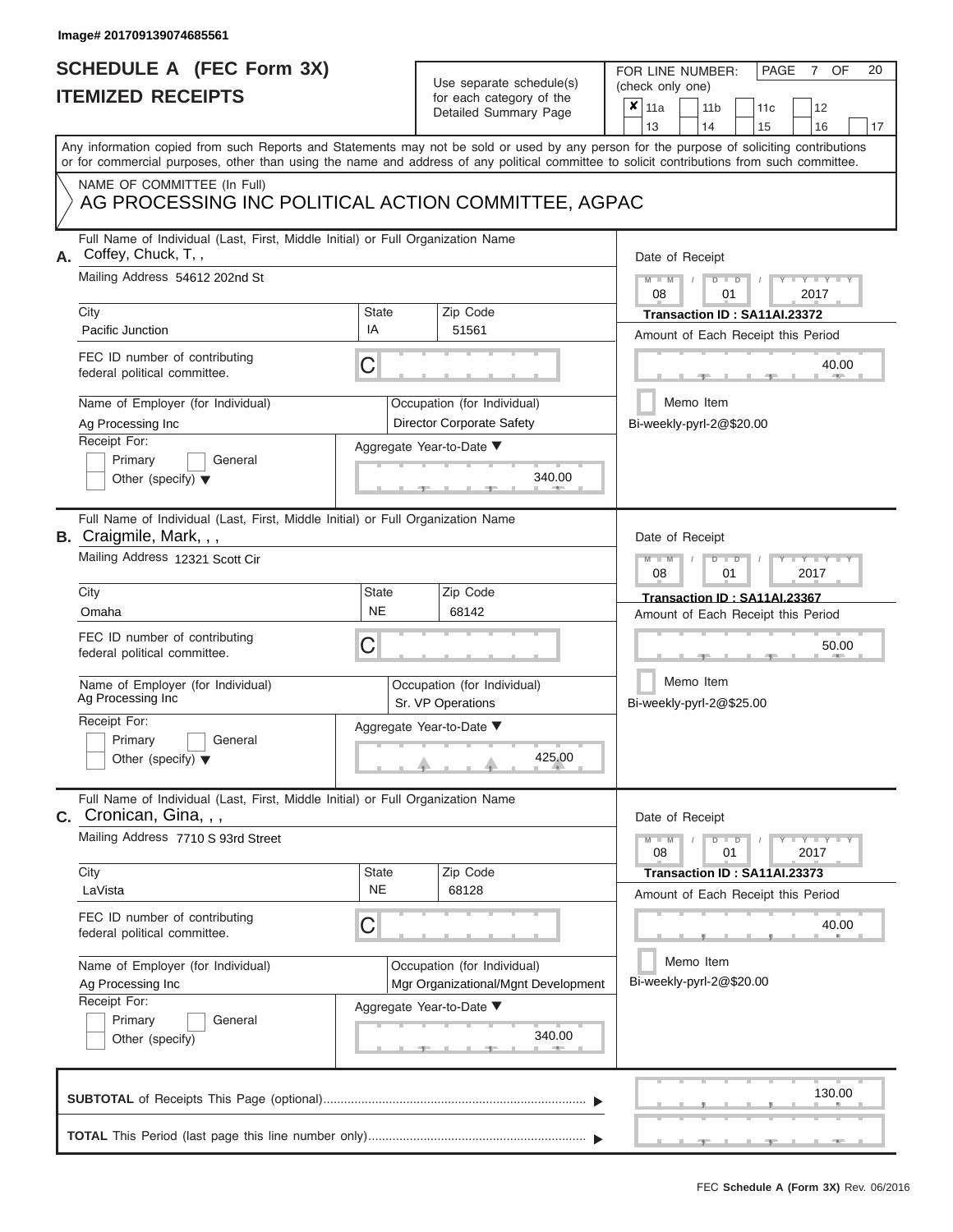|                          | SCHEDULE A (FEC Form 3X) |
|--------------------------|--------------------------|
| <b>ITEMIZED RECEIPTS</b> |                          |

FOR LINE NUMBER:<br>(check only one)

PAGE 7 OF 20

|    | <b>IIEMILED REVEIFIJ</b>                                                                                                                                                                                                                                                                |              | ior each calegory of the                         | x | 11a             | 11 <sub>b</sub>                       | 11c                                | 12                              |    |
|----|-----------------------------------------------------------------------------------------------------------------------------------------------------------------------------------------------------------------------------------------------------------------------------------------|--------------|--------------------------------------------------|---|-----------------|---------------------------------------|------------------------------------|---------------------------------|----|
|    |                                                                                                                                                                                                                                                                                         |              | Detailed Summary Page                            |   | 13              | 14                                    | 15                                 | 16                              | 17 |
|    | Any information copied from such Reports and Statements may not be sold or used by any person for the purpose of soliciting contributions<br>or for commercial purposes, other than using the name and address of any political committee to solicit contributions from such committee. |              |                                                  |   |                 |                                       |                                    |                                 |    |
|    | NAME OF COMMITTEE (In Full)                                                                                                                                                                                                                                                             |              |                                                  |   |                 |                                       |                                    |                                 |    |
|    | AG PROCESSING INC POLITICAL ACTION COMMITTEE, AGPAC                                                                                                                                                                                                                                     |              |                                                  |   |                 |                                       |                                    |                                 |    |
| А. | Full Name of Individual (Last, First, Middle Initial) or Full Organization Name<br>Coffey, Chuck, T,,                                                                                                                                                                                   |              |                                                  |   | Date of Receipt |                                       |                                    |                                 |    |
|    | Mailing Address 54612 202nd St                                                                                                                                                                                                                                                          |              |                                                  |   | $M - M$<br>08   | $D$ $D$<br>01                         |                                    | $Y = Y$<br>2017                 |    |
|    | City                                                                                                                                                                                                                                                                                    | <b>State</b> | Zip Code                                         |   |                 |                                       | Transaction ID: SA11AI.23372       |                                 |    |
|    | Pacific Junction                                                                                                                                                                                                                                                                        | IA           | 51561                                            |   |                 |                                       | Amount of Each Receipt this Period |                                 |    |
|    | FEC ID number of contributing<br>federal political committee.                                                                                                                                                                                                                           | C            |                                                  |   |                 |                                       |                                    | 40.00                           |    |
|    | Name of Employer (for Individual)                                                                                                                                                                                                                                                       |              | Occupation (for Individual)                      |   |                 | Memo Item                             |                                    |                                 |    |
|    | Ag Processing Inc                                                                                                                                                                                                                                                                       |              | Director Corporate Safety                        |   |                 | Bi-weekly-pyrl-2@\$20.00              |                                    |                                 |    |
|    | Receipt For:                                                                                                                                                                                                                                                                            |              | Aggregate Year-to-Date ▼                         |   |                 |                                       |                                    |                                 |    |
|    | Primary<br>General                                                                                                                                                                                                                                                                      |              |                                                  |   |                 |                                       |                                    |                                 |    |
|    | Other (specify) $\blacktriangledown$                                                                                                                                                                                                                                                    |              | 340.00                                           |   |                 |                                       |                                    |                                 |    |
|    | Full Name of Individual (Last, First, Middle Initial) or Full Organization Name<br>B. Craigmile, Mark, , ,                                                                                                                                                                              |              |                                                  |   | Date of Receipt |                                       |                                    |                                 |    |
|    | Mailing Address 12321 Scott Cir                                                                                                                                                                                                                                                         |              |                                                  |   | $M - M$<br>08   | $\Box$<br>D<br>01                     |                                    | $Y - Y$<br>2017                 |    |
|    | City                                                                                                                                                                                                                                                                                    | <b>State</b> | Zip Code                                         |   |                 |                                       | Transaction ID: SA11AI.23367       |                                 |    |
|    | Omaha                                                                                                                                                                                                                                                                                   | <b>NE</b>    | 68142                                            |   |                 |                                       | Amount of Each Receipt this Period |                                 |    |
|    | FEC ID number of contributing<br>federal political committee.                                                                                                                                                                                                                           | С            |                                                  |   |                 |                                       |                                    | 50.00                           |    |
|    | Name of Employer (for Individual)<br>Ag Processing Inc                                                                                                                                                                                                                                  |              | Occupation (for Individual)<br>Sr. VP Operations |   |                 | Memo Item<br>Bi-weekly-pyrl-2@\$25.00 |                                    |                                 |    |
|    | Receipt For:                                                                                                                                                                                                                                                                            |              | Aggregate Year-to-Date ▼                         |   |                 |                                       |                                    |                                 |    |
|    | Primary<br>General                                                                                                                                                                                                                                                                      |              |                                                  |   |                 |                                       |                                    |                                 |    |
|    | Other (specify) $\blacktriangledown$                                                                                                                                                                                                                                                    |              | 425.00                                           |   |                 |                                       |                                    |                                 |    |
|    | Full Name of Individual (Last, First, Middle Initial) or Full Organization Name<br><b>C.</b> Cronican, Gina, , ,                                                                                                                                                                        |              |                                                  |   | Date of Receipt |                                       |                                    |                                 |    |
|    | Mailing Address 7710 S 93rd Street                                                                                                                                                                                                                                                      |              |                                                  |   | $M - M$<br>08   | $D$ $D$<br>01                         |                                    | $T - Y = T - Y - T - Y$<br>2017 |    |
|    | City                                                                                                                                                                                                                                                                                    | <b>State</b> | Zip Code                                         |   |                 |                                       | Transaction ID: SA11AI.23373       |                                 |    |
|    | LaVista                                                                                                                                                                                                                                                                                 | <b>NE</b>    | 68128                                            |   |                 |                                       | Amount of Each Receipt this Period |                                 |    |
|    | FEC ID number of contributing<br>federal political committee.                                                                                                                                                                                                                           | C            |                                                  |   |                 |                                       |                                    | 40.00                           |    |
|    | Name of Employer (for Individual)                                                                                                                                                                                                                                                       |              | Occupation (for Individual)                      |   |                 | Memo Item                             |                                    |                                 |    |
|    | Ag Processing Inc                                                                                                                                                                                                                                                                       |              | Mgr Organizational/Mgnt Development              |   |                 | Bi-weekly-pyrl-2@\$20.00              |                                    |                                 |    |
|    | Receipt For:                                                                                                                                                                                                                                                                            |              | Aggregate Year-to-Date ▼                         |   |                 |                                       |                                    |                                 |    |
|    | General<br>Primary                                                                                                                                                                                                                                                                      |              |                                                  |   |                 |                                       |                                    |                                 |    |
|    | Other (specify)                                                                                                                                                                                                                                                                         |              | 340.00                                           |   |                 |                                       |                                    |                                 |    |
|    |                                                                                                                                                                                                                                                                                         |              |                                                  |   |                 |                                       |                                    | 130.00                          |    |
|    |                                                                                                                                                                                                                                                                                         |              |                                                  |   |                 |                                       |                                    |                                 |    |
|    |                                                                                                                                                                                                                                                                                         |              |                                                  |   |                 |                                       |                                    |                                 |    |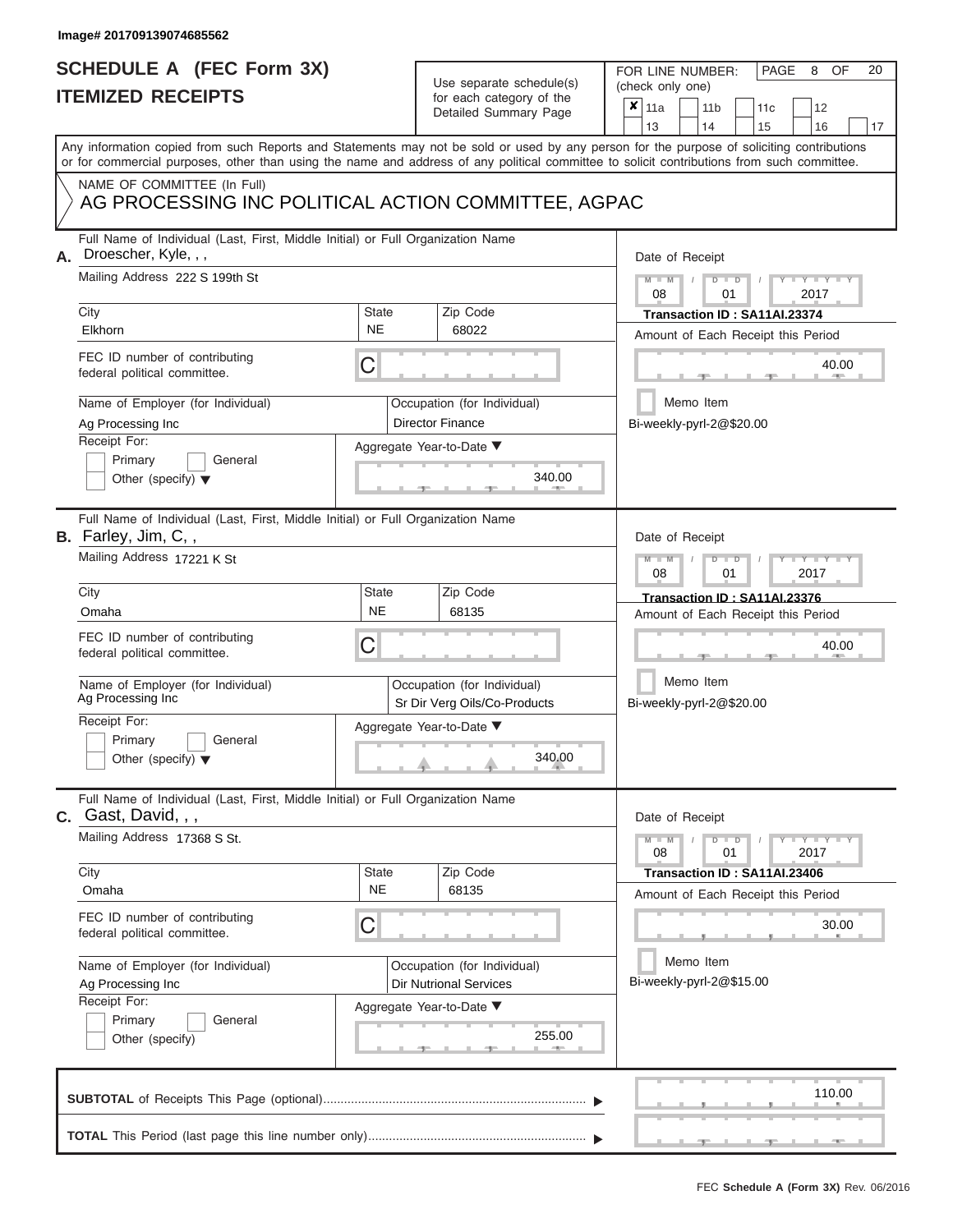### **SCHEDULE A (FEC Form 3X) ITEMIZED RECEIPTS**

# Use separate schedule(s)

| SCHEDULE A (FEC Form 3X)<br><b>ITEMIZED RECEIPTS</b>                                                                                       |                           | Use separate schedule(s)                                     | 20<br>FOR LINE NUMBER:<br>PAGE<br>OF<br>8<br>(check only one)                                                                             |
|--------------------------------------------------------------------------------------------------------------------------------------------|---------------------------|--------------------------------------------------------------|-------------------------------------------------------------------------------------------------------------------------------------------|
|                                                                                                                                            |                           | for each category of the<br>Detailed Summary Page            | $\overline{\mathbf{x}}$   11a<br>11 <sub>b</sub><br>11c<br>12<br>13<br>14<br>15<br>16<br>17                                               |
| or for commercial purposes, other than using the name and address of any political committee to solicit contributions from such committee. |                           |                                                              | Any information copied from such Reports and Statements may not be sold or used by any person for the purpose of soliciting contributions |
| NAME OF COMMITTEE (In Full)<br>AG PROCESSING INC POLITICAL ACTION COMMITTEE, AGPAC                                                         |                           |                                                              |                                                                                                                                           |
| Full Name of Individual (Last, First, Middle Initial) or Full Organization Name<br>Droescher, Kyle, , ,<br>Α.                              |                           |                                                              | Date of Receipt                                                                                                                           |
| Mailing Address 222 S 199th St<br>City                                                                                                     | State                     | Zip Code                                                     | $Y = Y =$<br>$M - M$<br>$D$ $D$<br>08<br>2017<br>01<br>Transaction ID: SA11AI.23374                                                       |
| Elkhorn                                                                                                                                    | <b>NE</b>                 | 68022                                                        | Amount of Each Receipt this Period                                                                                                        |
| FEC ID number of contributing<br>federal political committee.                                                                              | C                         |                                                              | 40.00                                                                                                                                     |
| Name of Employer (for Individual)<br>Ag Processing Inc                                                                                     |                           | Occupation (for Individual)<br><b>Director Finance</b>       | Memo Item<br>Bi-weekly-pyrl-2@\$20.00                                                                                                     |
| Receipt For:<br>Primary<br>General                                                                                                         |                           | Aggregate Year-to-Date ▼                                     |                                                                                                                                           |
| Other (specify) $\blacktriangledown$                                                                                                       |                           | 340.00                                                       |                                                                                                                                           |
| Full Name of Individual (Last, First, Middle Initial) or Full Organization Name<br>B. Farley, Jim, C,,                                     |                           |                                                              | Date of Receipt                                                                                                                           |
| Mailing Address 17221 K St                                                                                                                 |                           |                                                              | $M - M$<br>Y I Y I<br>$D$ $D$<br>08<br>2017<br>01                                                                                         |
| City                                                                                                                                       | <b>State</b><br><b>NE</b> | Zip Code                                                     | Transaction ID: SA11AI.23376                                                                                                              |
| Omaha                                                                                                                                      |                           | 68135                                                        | Amount of Each Receipt this Period                                                                                                        |
| FEC ID number of contributing<br>federal political committee.                                                                              | С                         |                                                              | 40.00                                                                                                                                     |
| Name of Employer (for Individual)<br>Ag Processing Inc                                                                                     |                           | Occupation (for Individual)<br>Sr Dir Verg Oils/Co-Products  | Memo Item<br>Bi-weekly-pyrl-2@\$20.00                                                                                                     |
| Receipt For:                                                                                                                               |                           | Aggregate Year-to-Date ▼                                     |                                                                                                                                           |
| Primary<br>General<br>Other (specify) $\blacktriangledown$                                                                                 |                           | 340.00                                                       |                                                                                                                                           |
| Full Name of Individual (Last, First, Middle Initial) or Full Organization Name<br>$C.$ Gast, David, , ,                                   |                           |                                                              | Date of Receipt                                                                                                                           |
| Mailing Address 17368 S St.                                                                                                                |                           |                                                              | $\mathbf{I} = \mathbf{Y} + \mathbf{Y} + \mathbf{I}$<br>$M - M$<br>$D$ $D$<br>01<br>2017<br>08                                             |
| City<br>Omaha                                                                                                                              | State<br><b>NE</b>        | Zip Code<br>68135                                            | Transaction ID: SA11AI.23406<br>Amount of Each Receipt this Period                                                                        |
| FEC ID number of contributing<br>federal political committee.                                                                              | С                         |                                                              | 30.00                                                                                                                                     |
| Name of Employer (for Individual)<br>Ag Processing Inc                                                                                     |                           | Occupation (for Individual)<br><b>Dir Nutrional Services</b> | Memo Item<br>Bi-weekly-pyrl-2@\$15.00                                                                                                     |
| Receipt For:<br>Primary<br>General<br>Other (specify)                                                                                      |                           | Aggregate Year-to-Date ▼<br>255.00<br>$-1$                   |                                                                                                                                           |
|                                                                                                                                            |                           |                                                              | 110.00                                                                                                                                    |
|                                                                                                                                            |                           |                                                              |                                                                                                                                           |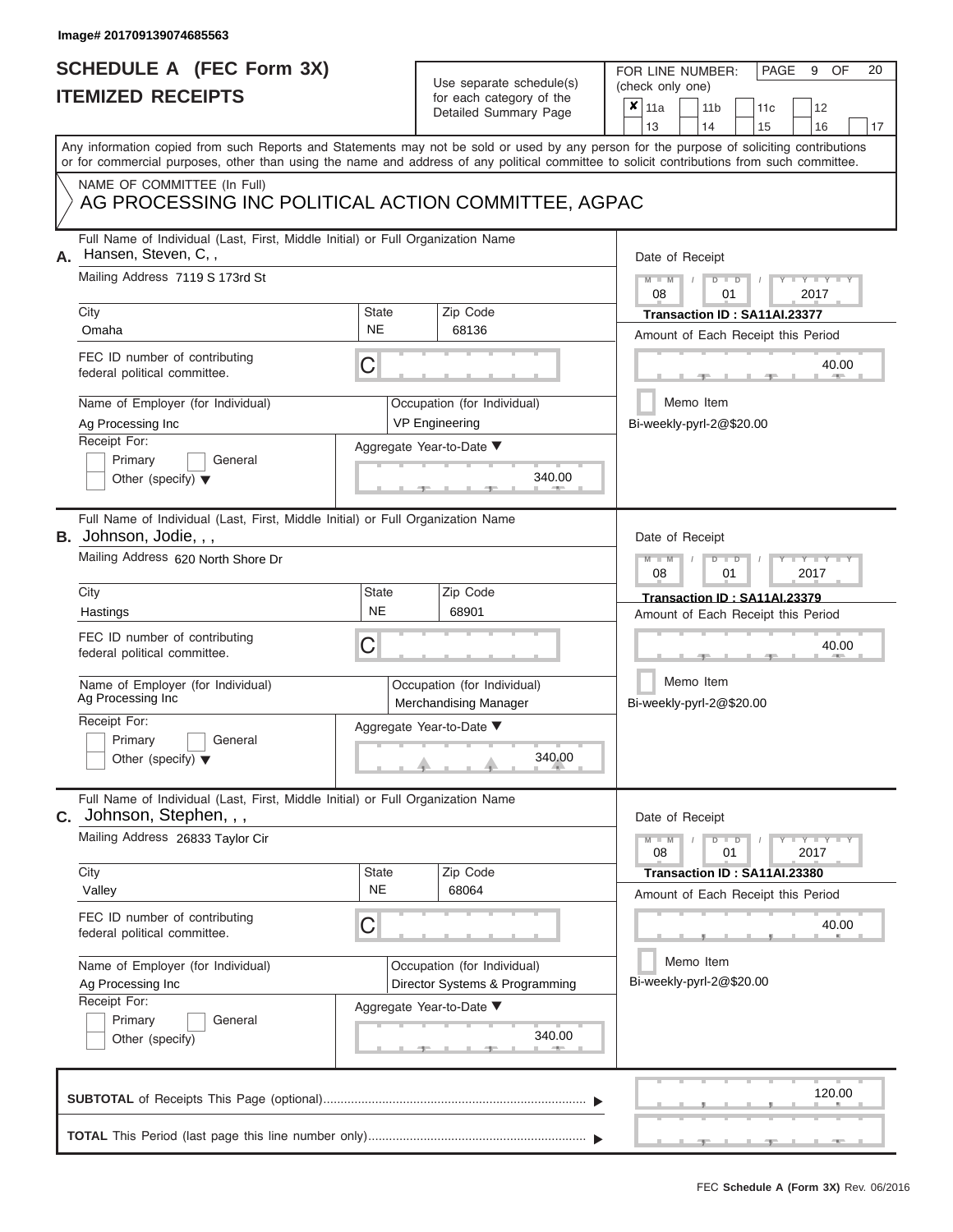# **SCHEDULE A (FEC Form 3X)**

# Use separate schedule(s)

| SCHEDULE A (FEC Form 3X)<br><b>ITEMIZED RECEIPTS</b>                                                                                                                                                                                                                                                                                                                                |                                | Use separate schedule(s)<br>for each category of the<br>Detailed Summary Page                                            | 20<br>FOR LINE NUMBER:<br>PAGE<br>OF<br>9<br>(check only one)<br>$\boldsymbol{x}$<br>11a<br>11 <sub>b</sub><br>11c<br>12<br>13<br>14<br>15<br>16<br>17                                                    |
|-------------------------------------------------------------------------------------------------------------------------------------------------------------------------------------------------------------------------------------------------------------------------------------------------------------------------------------------------------------------------------------|--------------------------------|--------------------------------------------------------------------------------------------------------------------------|-----------------------------------------------------------------------------------------------------------------------------------------------------------------------------------------------------------|
| Any information copied from such Reports and Statements may not be sold or used by any person for the purpose of soliciting contributions<br>or for commercial purposes, other than using the name and address of any political committee to solicit contributions from such committee.<br>NAME OF COMMITTEE (In Full)<br>AG PROCESSING INC POLITICAL ACTION COMMITTEE, AGPAC       |                                |                                                                                                                          |                                                                                                                                                                                                           |
| Full Name of Individual (Last, First, Middle Initial) or Full Organization Name<br>Hansen, Steven, C,,<br>А.<br>Mailing Address 7119 S 173rd St<br>City<br>Omaha<br>FEC ID number of contributing<br>federal political committee.<br>Name of Employer (for Individual)<br>Ag Processing Inc<br>Receipt For:<br>Primary<br>General<br>Other (specify) $\blacktriangledown$           | <b>State</b><br><b>NE</b><br>С | Zip Code<br>68136<br>Occupation (for Individual)<br><b>VP Engineering</b><br>Aggregate Year-to-Date ▼<br>340.00          | Date of Receipt<br>$M - M$<br>$D$ $D$<br>$Y - Y - I$<br>08<br>01<br>2017<br>Transaction ID: SA11AI.23377<br>Amount of Each Receipt this Period<br>40.00<br>Memo Item<br>Bi-weekly-pyrl-2@\$20.00          |
| Full Name of Individual (Last, First, Middle Initial) or Full Organization Name<br><b>B.</b> Johnson, Jodie, , ,<br>Mailing Address 620 North Shore Dr<br>City<br>Hastings<br>FEC ID number of contributing<br>federal political committee.<br>Name of Employer (for Individual)<br>Ag Processing Inc<br>Receipt For:<br>Primary<br>General<br>Other (specify) $\blacktriangledown$ | State<br><b>NE</b><br>С        | Zip Code<br>68901<br>Occupation (for Individual)<br>Merchandising Manager<br>Aggregate Year-to-Date ▼<br>340.00          | Date of Receipt<br>$M - M$<br>$D$ $\Box$ $D$<br>Y Y<br>2017<br>08<br>01<br>Transaction ID: SA11AI.23379<br>Amount of Each Receipt this Period<br>40.00<br>Memo Item<br>Bi-weekly-pyrl-2@\$20.00           |
| Full Name of Individual (Last, First, Middle Initial) or Full Organization Name<br>Johnson, Stephen, , ,<br>С.<br>Mailing Address 26833 Taylor Cir<br>City<br>Valley<br>FEC ID number of contributing<br>federal political committee.<br>Name of Employer (for Individual)<br>Ag Processing Inc<br>Receipt For:<br>Primary<br>General<br>Other (specify)                            | State<br><b>NE</b><br>С        | Zip Code<br>68064<br>Occupation (for Individual)<br>Director Systems & Programming<br>Aggregate Year-to-Date ▼<br>340.00 | Date of Receipt<br>$M - M$<br>$D$ $D$<br>$-1 - Y - 1 - Y - 1$<br>01<br>2017<br>08<br>Transaction ID: SA11AI.23380<br>Amount of Each Receipt this Period<br>40.00<br>Memo Item<br>Bi-weekly-pyrl-2@\$20.00 |
|                                                                                                                                                                                                                                                                                                                                                                                     |                                |                                                                                                                          | 120.00                                                                                                                                                                                                    |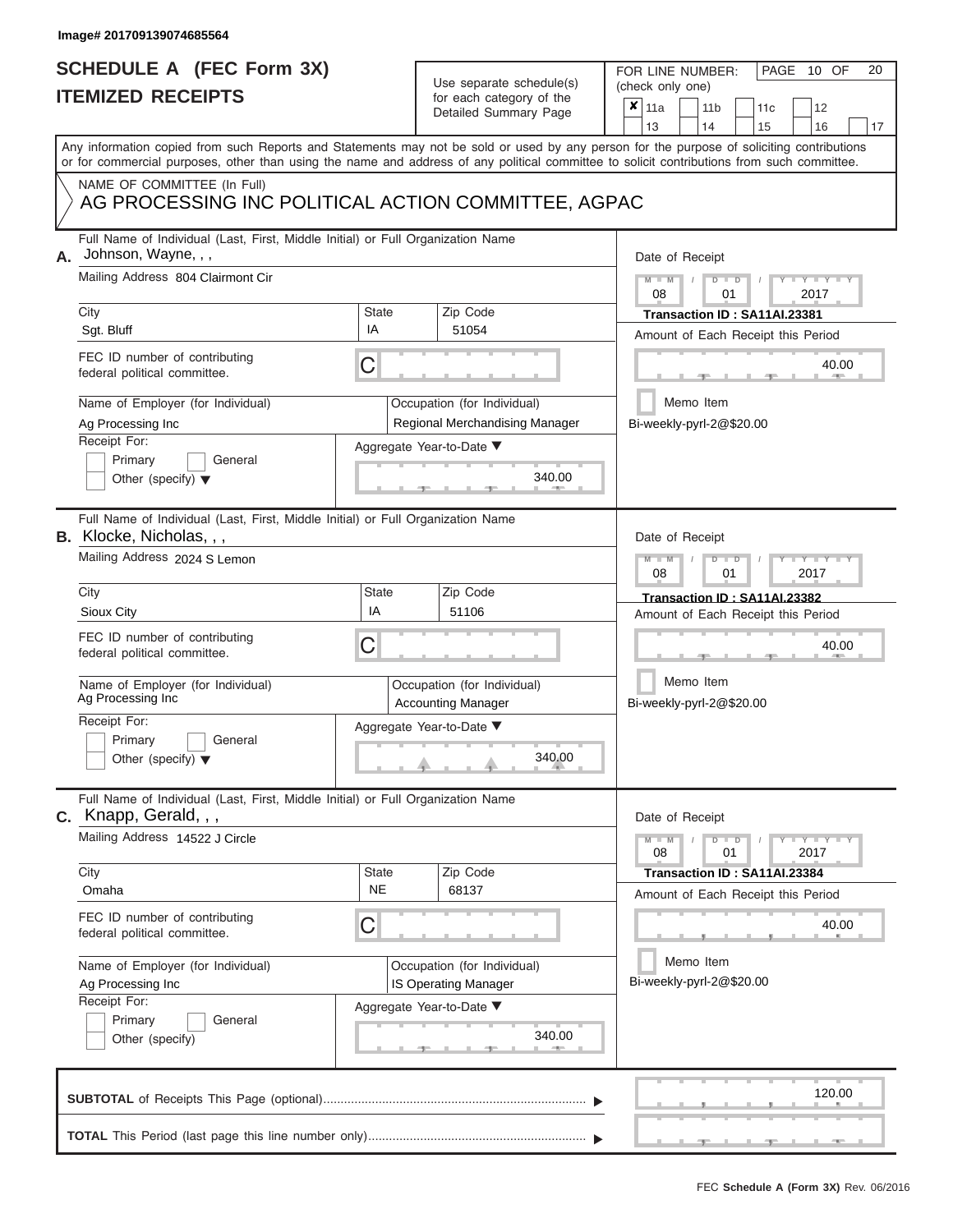### **SCHEDULE A (FEC Form 3X) ITEMIZED RECEIPTS**

| SCHEDULE A (FEC Form 3X)<br><b>ITEMIZED RECEIPTS</b>                                                               | Use separate schedule(s)<br>for each category of the<br>Detailed Summary Page | 20<br>FOR LINE NUMBER:<br>PAGE 10 OF<br>(check only one)<br>$\boldsymbol{x}$<br>11a<br>11 <sub>b</sub><br>12<br>11 <sub>c</sub>                                         |
|--------------------------------------------------------------------------------------------------------------------|-------------------------------------------------------------------------------|-------------------------------------------------------------------------------------------------------------------------------------------------------------------------|
|                                                                                                                    |                                                                               | 13<br>14<br>15<br>16<br>17<br>Any information copied from such Reports and Statements may not be sold or used by any person for the purpose of soliciting contributions |
|                                                                                                                    |                                                                               | or for commercial purposes, other than using the name and address of any political committee to solicit contributions from such committee.                              |
| NAME OF COMMITTEE (In Full)<br>AG PROCESSING INC POLITICAL ACTION COMMITTEE, AGPAC                                 |                                                                               |                                                                                                                                                                         |
| Full Name of Individual (Last, First, Middle Initial) or Full Organization Name<br>Johnson, Wayne, , ,             |                                                                               | Date of Receipt                                                                                                                                                         |
| Mailing Address 804 Clairmont Cir<br>City                                                                          | <b>State</b><br>Zip Code                                                      | $M - M$ /<br>$D$ $D$<br>$\cdots$ Y $\cdots$ Y $\cdots$<br>08<br>01<br>2017<br>Transaction ID: SA11AI.23381                                                              |
| Sgt. Bluff                                                                                                         | IA<br>51054                                                                   | Amount of Each Receipt this Period                                                                                                                                      |
| FEC ID number of contributing<br>federal political committee.                                                      | C                                                                             | 40.00<br><b>ARCHITECT</b>                                                                                                                                               |
| Name of Employer (for Individual)<br>Ag Processing Inc                                                             | Occupation (for Individual)<br>Regional Merchandising Manager                 | Memo Item<br>Bi-weekly-pyrl-2@\$20.00                                                                                                                                   |
| Receipt For:<br>Primary<br>General<br>Other (specify) $\blacktriangledown$                                         | Aggregate Year-to-Date ▼                                                      | 340.00                                                                                                                                                                  |
| Full Name of Individual (Last, First, Middle Initial) or Full Organization Name<br><b>B.</b> Klocke, Nicholas, , , |                                                                               | Date of Receipt                                                                                                                                                         |
| Mailing Address 2024 S Lemon                                                                                       |                                                                               | $M - M$<br>$D$ $D$<br>$T - Y = T - Y = T$<br>2017<br>08<br>01                                                                                                           |
| City<br>Sioux City                                                                                                 | <b>State</b><br>Zip Code<br>IA<br>51106                                       | Transaction ID: SA11AI.23382<br>Amount of Each Receipt this Period                                                                                                      |
| FEC ID number of contributing<br>federal political committee.                                                      | C                                                                             | 40.00                                                                                                                                                                   |
| Name of Employer (for Individual)<br>Ag Processing Inc                                                             | Occupation (for Individual)<br><b>Accounting Manager</b>                      | Memo Item<br>Bi-weekly-pyrl-2@\$20.00                                                                                                                                   |
| Receipt For:<br>Primary<br>General<br>Other (specify) $\blacktriangledown$                                         | Aggregate Year-to-Date ▼<br>340.00                                            |                                                                                                                                                                         |
| Full Name of Individual (Last, First, Middle Initial) or Full Organization Name<br>C. Knapp, Gerald, , ,           |                                                                               | Date of Receipt                                                                                                                                                         |
| Mailing Address 14522 J Circle                                                                                     |                                                                               | $M - M$<br>$D$ $D$<br>$\mathbf{I} = \mathbf{Y} - \mathbf{I} = \mathbf{Y} - \mathbf{I}$<br>01<br>2017<br>08                                                              |
| City<br>Omaha                                                                                                      | State<br>Zip Code<br><b>NE</b><br>68137                                       | Transaction ID: SA11AI.23384<br>Amount of Each Receipt this Period                                                                                                      |
| FEC ID number of contributing<br>federal political committee.                                                      | C                                                                             | 40.00                                                                                                                                                                   |
| Name of Employer (for Individual)<br>Ag Processing Inc                                                             | Occupation (for Individual)<br><b>IS Operating Manager</b>                    | Memo Item<br>Bi-weekly-pyrl-2@\$20.00                                                                                                                                   |
| Receipt For:<br>Primary<br>General<br>Other (specify)                                                              | Aggregate Year-to-Date ▼                                                      | 340.00                                                                                                                                                                  |
|                                                                                                                    |                                                                               | 120.00                                                                                                                                                                  |
|                                                                                                                    |                                                                               |                                                                                                                                                                         |

 $\frac{1}{2}$  ,  $\frac{1}{2}$  ,  $\frac{1}{2}$  ,  $\frac{1}{2}$  ,  $\frac{1}{2}$  ,  $\frac{1}{2}$  ,  $\frac{1}{2}$  ,  $\frac{1}{2}$  ,  $\frac{1}{2}$  ,  $\frac{1}{2}$  ,  $\frac{1}{2}$  ,  $\frac{1}{2}$  ,  $\frac{1}{2}$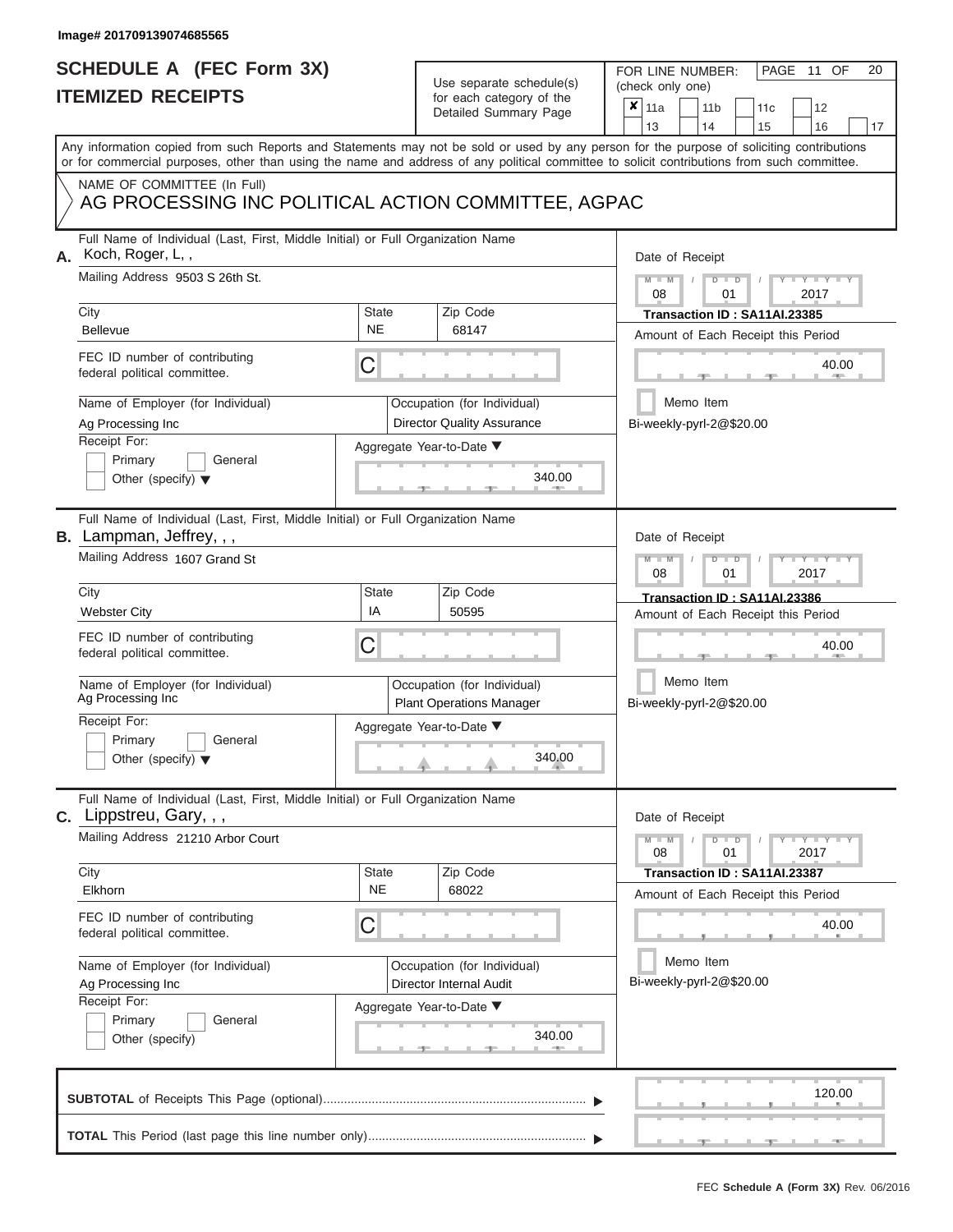# **SCHEDULE A (FEC Form 3X)**

# Use separate schedule(s)

| SCHEDULE A (FEC Form 3X)<br><b>ITEMIZED RECEIPTS</b>                                                                                                                                                                                                                                                                                                                                        |                                | Use separate schedule(s)<br>for each category of the                                                                      | FOR LINE NUMBER:<br>PAGE 11 OF<br>20<br>(check only one)<br>$\boldsymbol{x}$<br>11a<br>11 <sub>b</sub><br>11 <sub>c</sub><br>12                                                                                                                       |
|---------------------------------------------------------------------------------------------------------------------------------------------------------------------------------------------------------------------------------------------------------------------------------------------------------------------------------------------------------------------------------------------|--------------------------------|---------------------------------------------------------------------------------------------------------------------------|-------------------------------------------------------------------------------------------------------------------------------------------------------------------------------------------------------------------------------------------------------|
|                                                                                                                                                                                                                                                                                                                                                                                             |                                | Detailed Summary Page                                                                                                     | 13<br>14<br>15<br>16<br>17                                                                                                                                                                                                                            |
| Any information copied from such Reports and Statements may not be sold or used by any person for the purpose of soliciting contributions<br>or for commercial purposes, other than using the name and address of any political committee to solicit contributions from such committee.                                                                                                     |                                |                                                                                                                           |                                                                                                                                                                                                                                                       |
| NAME OF COMMITTEE (In Full)<br>AG PROCESSING INC POLITICAL ACTION COMMITTEE, AGPAC                                                                                                                                                                                                                                                                                                          |                                |                                                                                                                           |                                                                                                                                                                                                                                                       |
| Full Name of Individual (Last, First, Middle Initial) or Full Organization Name<br>Koch, Roger, L,,<br>А.<br>Mailing Address 9503 S 26th St.<br>City<br>Bellevue<br>FEC ID number of contributing<br>federal political committee.<br>Name of Employer (for Individual)<br>Ag Processing Inc                                                                                                 | State<br><b>NE</b><br>С        | Zip Code<br>68147<br>Occupation (for Individual)<br><b>Director Quality Assurance</b>                                     | Date of Receipt<br>$M = M$ /<br>$D$ $D$<br>$Y - Y - I$<br>08<br>01<br>2017<br>Transaction ID: SA11AI.23385<br>Amount of Each Receipt this Period<br>40.00<br>Memo Item<br>Bi-weekly-pyrl-2@\$20.00                                                    |
| Receipt For:<br>Primary<br>General<br>Other (specify) $\blacktriangledown$                                                                                                                                                                                                                                                                                                                  |                                | Aggregate Year-to-Date ▼<br>340.00                                                                                        |                                                                                                                                                                                                                                                       |
| Full Name of Individual (Last, First, Middle Initial) or Full Organization Name<br><b>B.</b> Lampman, Jeffrey, , ,<br>Mailing Address 1607 Grand St<br>City<br><b>Webster City</b><br>FEC ID number of contributing<br>federal political committee.<br>Name of Employer (for Individual)<br>Ag Processing Inc<br>Receipt For:<br>Primary<br>General<br>Other (specify) $\blacktriangledown$ | <b>State</b><br>IA<br>С        | Zip Code<br>50595<br>Occupation (for Individual)<br><b>Plant Operations Manager</b><br>Aggregate Year-to-Date ▼<br>340.00 | Date of Receipt<br>$M - M$<br>$D$ $D$<br>Y TY T<br>08<br>2017<br>01<br>Transaction ID: SA11AI.23386<br>Amount of Each Receipt this Period<br>40.00<br>Memo Item<br>Bi-weekly-pyrl-2@\$20.00                                                           |
| Full Name of Individual (Last, First, Middle Initial) or Full Organization Name<br>$c.$ Lippstreu, Gary, , ,<br>Mailing Address 21210 Arbor Court<br>City<br>Elkhorn<br>FEC ID number of contributing<br>federal political committee.<br>Name of Employer (for Individual)<br>Ag Processing Inc<br>Receipt For:<br>Primary<br>General<br>Other (specify)                                    | <b>State</b><br><b>NE</b><br>С | Zip Code<br>68022<br>Occupation (for Individual)<br>Director Internal Audit<br>Aggregate Year-to-Date ▼<br>340.00         | Date of Receipt<br>$M - M$<br>$D$ $D$<br>$\mathbf{I} = \mathbf{Y} - \mathbf{I} - \mathbf{Y} - \mathbf{I}$<br>01<br>2017<br>08<br>Transaction ID: SA11AI.23387<br>Amount of Each Receipt this Period<br>40.00<br>Memo Item<br>Bi-weekly-pyrl-2@\$20.00 |
|                                                                                                                                                                                                                                                                                                                                                                                             |                                |                                                                                                                           | 120.00                                                                                                                                                                                                                                                |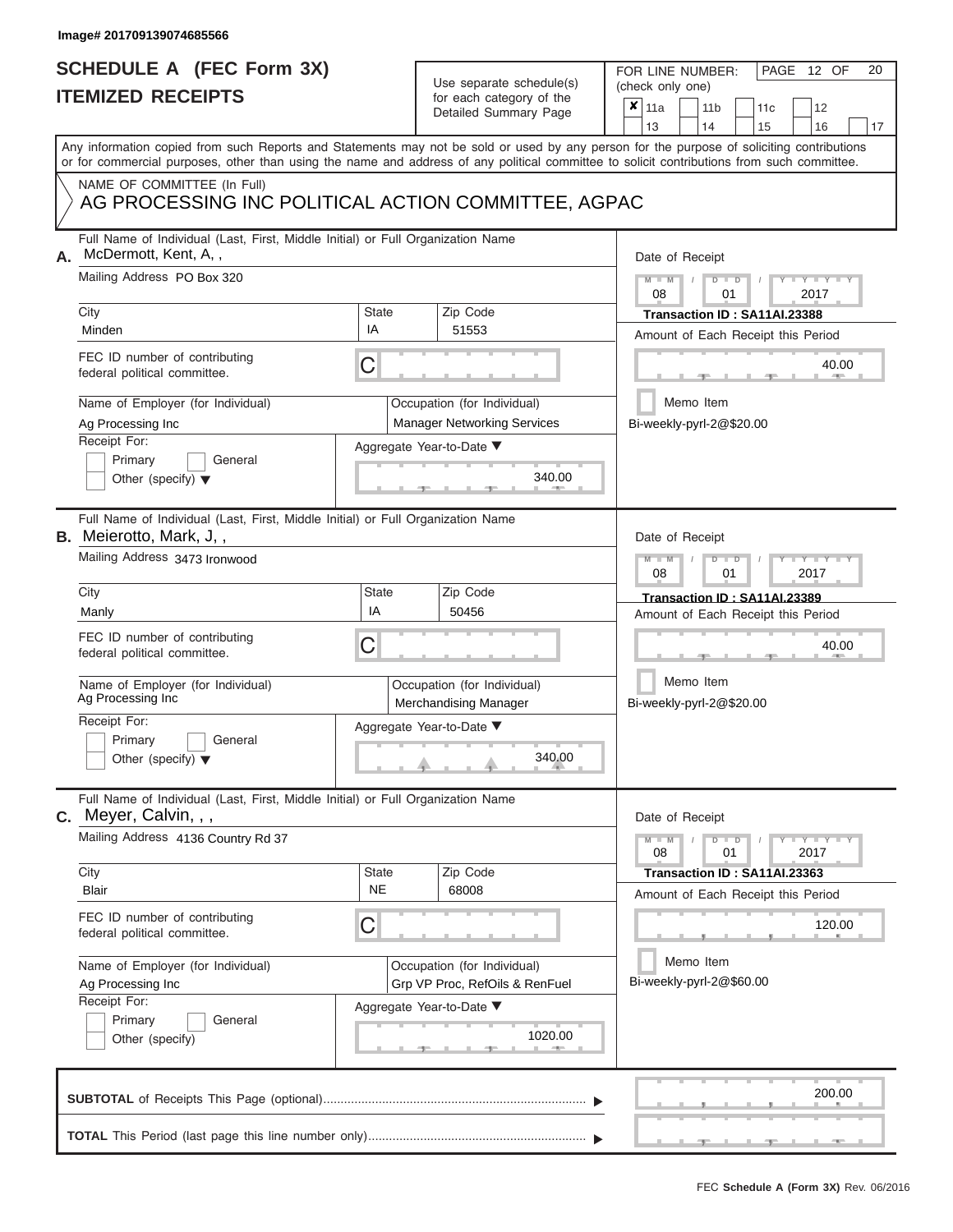### **SCHEDULE A (FEC Form 3X) ITEMIZED RECEIPTS**

| SCHEDULE A (FEC Form 3X)<br><b>ITEMIZED RECEIPTS</b> |                                                                                 | Use separate schedule(s)<br>for each category of the | 20<br>FOR LINE NUMBER:<br>PAGE 12 OF<br>(check only one)                                          |                                                                                                                                                                                                                                                                                         |
|------------------------------------------------------|---------------------------------------------------------------------------------|------------------------------------------------------|---------------------------------------------------------------------------------------------------|-----------------------------------------------------------------------------------------------------------------------------------------------------------------------------------------------------------------------------------------------------------------------------------------|
|                                                      |                                                                                 | Detailed Summary Page                                | $\boldsymbol{x}$<br>11a<br>11 <sub>b</sub><br>12<br>11 <sub>c</sub><br>13<br>14<br>15<br>16<br>17 |                                                                                                                                                                                                                                                                                         |
|                                                      |                                                                                 |                                                      |                                                                                                   | Any information copied from such Reports and Statements may not be sold or used by any person for the purpose of soliciting contributions<br>or for commercial purposes, other than using the name and address of any political committee to solicit contributions from such committee. |
|                                                      | NAME OF COMMITTEE (In Full)                                                     |                                                      | AG PROCESSING INC POLITICAL ACTION COMMITTEE, AGPAC                                               |                                                                                                                                                                                                                                                                                         |
| McDermott, Kent, A,,<br>Α.                           | Full Name of Individual (Last, First, Middle Initial) or Full Organization Name |                                                      |                                                                                                   | Date of Receipt                                                                                                                                                                                                                                                                         |
| City                                                 | Mailing Address PO Box 320                                                      | State                                                | Zip Code                                                                                          | $M = M$ /<br>$D$ $D$<br>Y TY<br>08<br>01<br>2017<br>Transaction ID: SA11AI.23388                                                                                                                                                                                                        |
| Minden                                               |                                                                                 | IA                                                   | 51553                                                                                             | Amount of Each Receipt this Period                                                                                                                                                                                                                                                      |
| federal political committee.                         | FEC ID number of contributing                                                   | C                                                    |                                                                                                   | 40.00                                                                                                                                                                                                                                                                                   |
| Ag Processing Inc                                    | Name of Employer (for Individual)                                               |                                                      | Occupation (for Individual)<br><b>Manager Networking Services</b>                                 | Memo Item<br>Bi-weekly-pyrl-2@\$20.00                                                                                                                                                                                                                                                   |
| Receipt For:                                         |                                                                                 |                                                      | Aggregate Year-to-Date ▼                                                                          |                                                                                                                                                                                                                                                                                         |
| Primary                                              | General<br>Other (specify) $\blacktriangledown$                                 |                                                      | 340.00                                                                                            |                                                                                                                                                                                                                                                                                         |
| <b>B.</b> Meierotto, Mark, J,,                       | Full Name of Individual (Last, First, Middle Initial) or Full Organization Name |                                                      |                                                                                                   | Date of Receipt                                                                                                                                                                                                                                                                         |
|                                                      | Mailing Address 3473 Ironwood                                                   |                                                      |                                                                                                   | $M - M$<br>$D$ $D$<br>$\blacksquare$ $\blacksquare$ $\blacksquare$ $\blacksquare$ $\blacksquare$ $\blacksquare$<br>08<br>2017<br>01                                                                                                                                                     |
| City                                                 |                                                                                 | State<br>IA                                          | Zip Code                                                                                          | Transaction ID: SA11AI.23389                                                                                                                                                                                                                                                            |
| Manly                                                |                                                                                 |                                                      | 50456                                                                                             | Amount of Each Receipt this Period                                                                                                                                                                                                                                                      |
| federal political committee.                         | FEC ID number of contributing                                                   | C                                                    |                                                                                                   | 40.00                                                                                                                                                                                                                                                                                   |
| Ag Processing Inc                                    | Name of Employer (for Individual)                                               |                                                      | Occupation (for Individual)<br>Merchandising Manager                                              | Memo Item<br>Bi-weekly-pyrl-2@\$20.00                                                                                                                                                                                                                                                   |
| Receipt For:                                         |                                                                                 |                                                      | Aggregate Year-to-Date ▼                                                                          |                                                                                                                                                                                                                                                                                         |
| Primary                                              | General<br>Other (specify) $\blacktriangledown$                                 |                                                      | 340.00                                                                                            |                                                                                                                                                                                                                                                                                         |
| C. Meyer, Calvin, , ,                                | Full Name of Individual (Last, First, Middle Initial) or Full Organization Name |                                                      |                                                                                                   | Date of Receipt                                                                                                                                                                                                                                                                         |
|                                                      | Mailing Address 4136 Country Rd 37                                              |                                                      |                                                                                                   | $M - M$<br>$D$ $D$<br>$\blacksquare$ $\vdash$ $\vdash$ $\vdash$ $\vdash$ $\vdash$<br>08<br>2017<br>01                                                                                                                                                                                   |
| City<br>Blair                                        |                                                                                 | <b>State</b><br><b>NE</b>                            | Zip Code<br>68008                                                                                 | Transaction ID: SA11AI.23363<br>Amount of Each Receipt this Period                                                                                                                                                                                                                      |
| federal political committee.                         | FEC ID number of contributing                                                   | C                                                    |                                                                                                   | 120.00                                                                                                                                                                                                                                                                                  |
| Ag Processing Inc                                    | Name of Employer (for Individual)                                               |                                                      | Occupation (for Individual)<br>Grp VP Proc, RefOils & RenFuel                                     | Memo Item<br>Bi-weekly-pyrl-2@\$60.00                                                                                                                                                                                                                                                   |
| Receipt For:<br>Primary<br>Other (specify)           | General                                                                         |                                                      | Aggregate Year-to-Date ▼<br>1020.00                                                               |                                                                                                                                                                                                                                                                                         |
|                                                      |                                                                                 |                                                      |                                                                                                   | 200.00                                                                                                                                                                                                                                                                                  |
|                                                      |                                                                                 |                                                      |                                                                                                   |                                                                                                                                                                                                                                                                                         |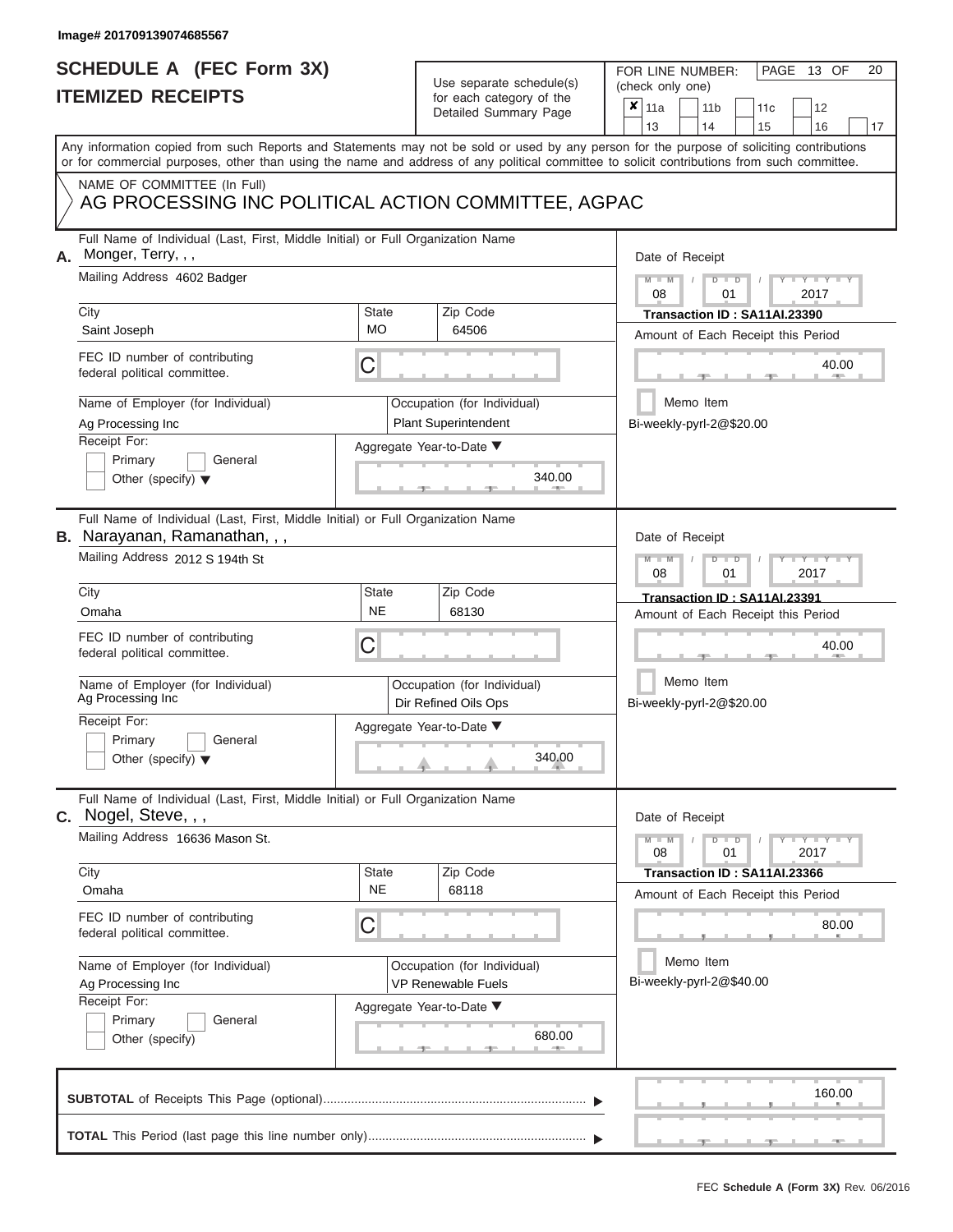## **SCHEDULE A (FEC Form 3X) ITEMIZED RECEIPTS**

# Use separate schedule(s)

| SCHEDULE A (FEC Form 3X)<br><b>ITEMIZED RECEIPTS</b>                                                                                                       |                                    | Use separate schedule(s)                                   | 20<br>FOR LINE NUMBER:<br>PAGE 13 OF<br>(check only one)                                                                                  |  |
|------------------------------------------------------------------------------------------------------------------------------------------------------------|------------------------------------|------------------------------------------------------------|-------------------------------------------------------------------------------------------------------------------------------------------|--|
|                                                                                                                                                            |                                    | for each category of the<br>Detailed Summary Page          | $\boldsymbol{x}$<br>11a<br>11 <sub>b</sub><br>12<br>11 <sub>c</sub><br>13<br>14<br>15<br>16<br>17                                         |  |
| or for commercial purposes, other than using the name and address of any political committee to solicit contributions from such committee.                 |                                    |                                                            | Any information copied from such Reports and Statements may not be sold or used by any person for the purpose of soliciting contributions |  |
| NAME OF COMMITTEE (In Full)<br>AG PROCESSING INC POLITICAL ACTION COMMITTEE, AGPAC                                                                         |                                    |                                                            |                                                                                                                                           |  |
| Full Name of Individual (Last, First, Middle Initial) or Full Organization Name<br>Monger, Terry, , ,<br>А.<br>Mailing Address 4602 Badger                 |                                    |                                                            | Date of Receipt<br>$M - M$ /<br>$D$ $D$<br>$Y - Y$<br>08<br>01<br>2017                                                                    |  |
| City<br>Saint Joseph                                                                                                                                       | State<br><b>MO</b>                 | Zip Code<br>64506                                          | Transaction ID: SA11AI.23390<br>Amount of Each Receipt this Period                                                                        |  |
| FEC ID number of contributing<br>federal political committee.                                                                                              | С                                  |                                                            | 40.00                                                                                                                                     |  |
| Name of Employer (for Individual)<br>Ag Processing Inc<br>Receipt For:                                                                                     |                                    | Occupation (for Individual)<br><b>Plant Superintendent</b> | Memo Item<br>Bi-weekly-pyrl-2@\$20.00                                                                                                     |  |
| Primary<br>General<br>Other (specify) $\blacktriangledown$                                                                                                 |                                    | Aggregate Year-to-Date ▼<br>340.00                         |                                                                                                                                           |  |
| Full Name of Individual (Last, First, Middle Initial) or Full Organization Name<br><b>B.</b> Narayanan, Ramanathan, , ,<br>Mailing Address 2012 S 194th St |                                    |                                                            | Date of Receipt<br>$M - M$<br>$D$ $D$<br>Y TY T<br>08<br>2017<br>01                                                                       |  |
| City<br>Omaha                                                                                                                                              | <b>State</b><br><b>NE</b>          | Zip Code<br>68130                                          | Transaction ID: SA11AI.23391                                                                                                              |  |
| FEC ID number of contributing<br>federal political committee.                                                                                              | С                                  |                                                            | Amount of Each Receipt this Period<br>40.00                                                                                               |  |
| Name of Employer (for Individual)<br>Ag Processing Inc                                                                                                     |                                    | Occupation (for Individual)<br>Dir Refined Oils Ops        | Memo Item<br>Bi-weekly-pyrl-2@\$20.00                                                                                                     |  |
| Receipt For:<br>Primary<br>General<br>Other (specify) $\blacktriangledown$                                                                                 | Aggregate Year-to-Date ▼<br>340.00 |                                                            |                                                                                                                                           |  |
| Full Name of Individual (Last, First, Middle Initial) or Full Organization Name<br>C. Nogel, Steve, , ,                                                    |                                    |                                                            | Date of Receipt                                                                                                                           |  |
| Mailing Address 16636 Mason St.                                                                                                                            |                                    |                                                            | $M - M$<br>$D$ $D$<br>$\mathbf{I} = \mathbf{Y} - \mathbf{I} - \mathbf{Y} - \mathbf{I}$<br>01<br>2017<br>08                                |  |
| City<br>Omaha                                                                                                                                              | <b>State</b><br><b>NE</b>          | Zip Code<br>68118                                          | Transaction ID: SA11AI.23366<br>Amount of Each Receipt this Period                                                                        |  |
| FEC ID number of contributing<br>federal political committee.                                                                                              | С                                  |                                                            | 80.00                                                                                                                                     |  |
| Name of Employer (for Individual)<br>Ag Processing Inc                                                                                                     |                                    | Occupation (for Individual)<br><b>VP Renewable Fuels</b>   | Memo Item<br>Bi-weekly-pyrl-2@\$40.00                                                                                                     |  |
| Receipt For:<br>Primary<br>General<br>Other (specify)                                                                                                      |                                    | Aggregate Year-to-Date ▼<br>680.00                         |                                                                                                                                           |  |
|                                                                                                                                                            |                                    |                                                            | 160.00                                                                                                                                    |  |
|                                                                                                                                                            |                                    |                                                            |                                                                                                                                           |  |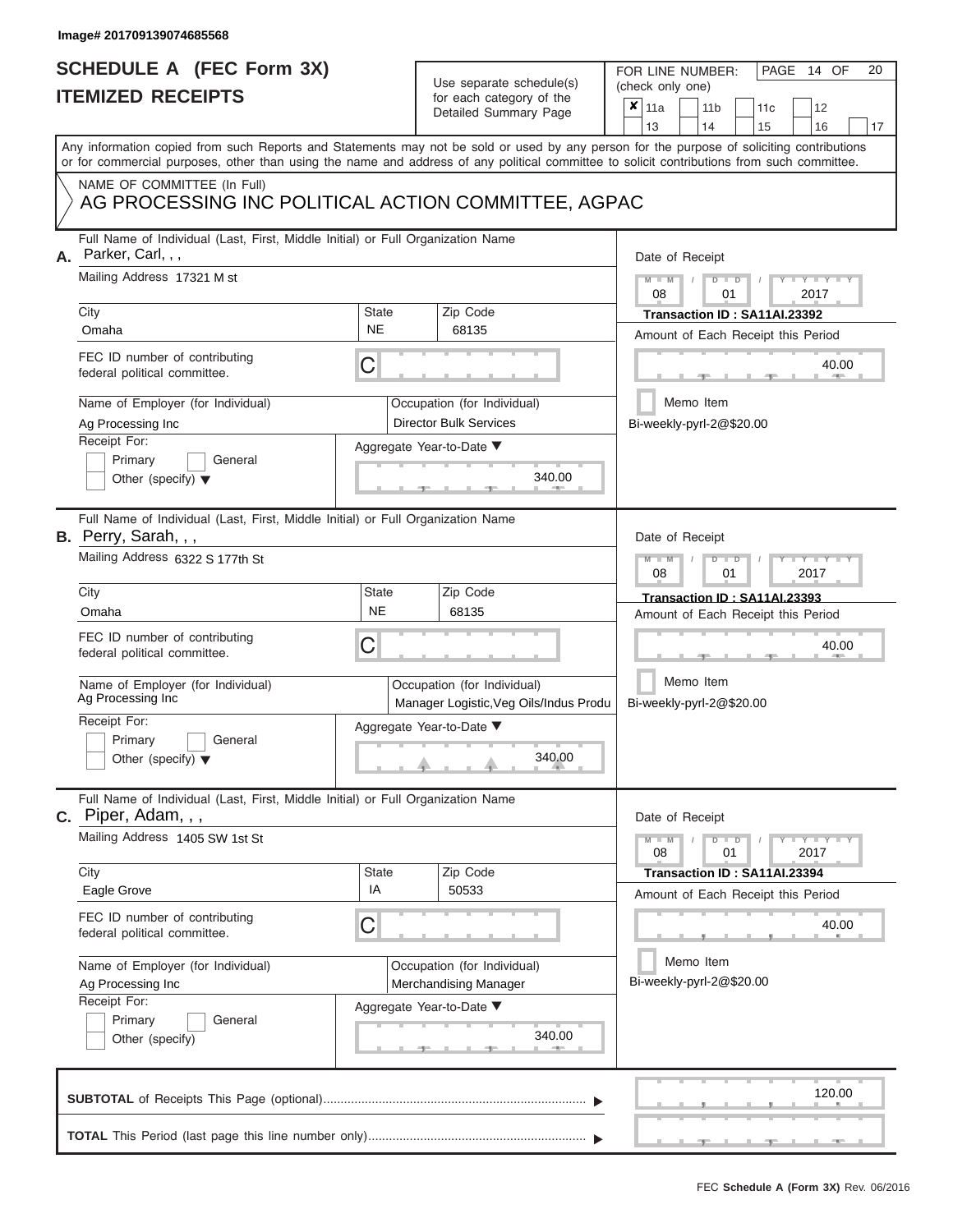### **SCHEDULE A (FEC Form 3X) ITEMIZED RECEIPTS**

# Use separate schedule(s)

FOR LINE NUMBER:<br>(check only one)

PAGE 14 OF 20

| 13<br>14<br>16<br>15<br>Any information copied from such Reports and Statements may not be sold or used by any person for the purpose of soliciting contributions<br>or for commercial purposes, other than using the name and address of any political committee to solicit contributions from such committee.<br>NAME OF COMMITTEE (In Full)<br>AG PROCESSING INC POLITICAL ACTION COMMITTEE, AGPAC<br>Full Name of Individual (Last, First, Middle Initial) or Full Organization Name<br>Parker, Carl,,,<br>А.<br>Date of Receipt<br>Mailing Address 17321 M st<br>$M - M$<br>Y L Y L<br>$D$ $D$<br>08<br>01<br>2017<br>City<br>Zip Code<br>State<br>Transaction ID: SA11AI.23392<br><b>NE</b><br>Omaha<br>68135<br>Amount of Each Receipt this Period<br>FEC ID number of contributing<br>С<br>40.00<br>federal political committee.<br>Memo Item<br>Name of Employer (for Individual)<br>Occupation (for Individual)<br><b>Director Bulk Services</b><br>Bi-weekly-pyrl-2@\$20.00<br>Ag Processing Inc<br>Receipt For:<br>Aggregate Year-to-Date ▼<br>Primary<br>General<br>340.00<br>Other (specify) $\blacktriangledown$<br>Full Name of Individual (Last, First, Middle Initial) or Full Organization Name<br><b>B.</b> Perry, Sarah, , ,<br>Date of Receipt<br>Mailing Address 6322 S 177th St<br>$Y = Y$<br>$D$ $D$<br>08<br>01<br>2017<br>Zip Code<br>City<br><b>State</b><br>Transaction ID: SA11AI.23393<br><b>NE</b><br>68135<br>Omaha<br>Amount of Each Receipt this Period<br>FEC ID number of contributing<br>C<br>40.00<br>federal political committee.<br>Memo Item<br>Name of Employer (for Individual)<br>Occupation (for Individual)<br>Ag Processing Inc<br>Bi-weekly-pyrl-2@\$20.00<br>Manager Logistic, Veg Oils/Indus Produ<br>Receipt For:<br>Aggregate Year-to-Date ▼<br>Primary<br>General<br>340.00<br>Other (specify) $\blacktriangledown$<br>Full Name of Individual (Last, First, Middle Initial) or Full Organization Name<br>$c.$ Piper, Adam, , ,<br>Date of Receipt<br>Mailing Address 1405 SW 1st St<br>$Y = Y + Y$<br>$D$ $\Box$ $D$<br>$M - M$<br>08<br>01<br>2017<br>State<br>Zip Code<br>City<br>Transaction ID: SA11AI.23394<br>IA<br>Eagle Grove<br>50533<br>Amount of Each Receipt this Period<br>FEC ID number of contributing<br>С<br>40.00<br>federal political committee.<br>Memo Item<br>Name of Employer (for Individual)<br>Occupation (for Individual)<br>Bi-weekly-pyrl-2@\$20.00<br>Ag Processing Inc<br>Merchandising Manager<br>Receipt For:<br>Aggregate Year-to-Date ▼<br>Primary<br>General<br>340.00<br>Other (specify)<br><b>1. 400</b><br>120.00 | IIEMIZED KEUEIPIS | for each category of the<br>Detailed Summary Page | × | 11a |  | 11 <sub>b</sub> |  | 11c |  | 12 |    |  |
|-----------------------------------------------------------------------------------------------------------------------------------------------------------------------------------------------------------------------------------------------------------------------------------------------------------------------------------------------------------------------------------------------------------------------------------------------------------------------------------------------------------------------------------------------------------------------------------------------------------------------------------------------------------------------------------------------------------------------------------------------------------------------------------------------------------------------------------------------------------------------------------------------------------------------------------------------------------------------------------------------------------------------------------------------------------------------------------------------------------------------------------------------------------------------------------------------------------------------------------------------------------------------------------------------------------------------------------------------------------------------------------------------------------------------------------------------------------------------------------------------------------------------------------------------------------------------------------------------------------------------------------------------------------------------------------------------------------------------------------------------------------------------------------------------------------------------------------------------------------------------------------------------------------------------------------------------------------------------------------------------------------------------------------------------------------------------------------------------------------------------------------------------------------------------------------------------------------------------------------------------------------------------------------------------------------------------------------------------------------------------------------------------------------------------------------------------------------------------------------------------------------------------------------------------------------------------------------------------------------------|-------------------|---------------------------------------------------|---|-----|--|-----------------|--|-----|--|----|----|--|
|                                                                                                                                                                                                                                                                                                                                                                                                                                                                                                                                                                                                                                                                                                                                                                                                                                                                                                                                                                                                                                                                                                                                                                                                                                                                                                                                                                                                                                                                                                                                                                                                                                                                                                                                                                                                                                                                                                                                                                                                                                                                                                                                                                                                                                                                                                                                                                                                                                                                                                                                                                                                                 |                   |                                                   |   |     |  |                 |  |     |  |    | 17 |  |
|                                                                                                                                                                                                                                                                                                                                                                                                                                                                                                                                                                                                                                                                                                                                                                                                                                                                                                                                                                                                                                                                                                                                                                                                                                                                                                                                                                                                                                                                                                                                                                                                                                                                                                                                                                                                                                                                                                                                                                                                                                                                                                                                                                                                                                                                                                                                                                                                                                                                                                                                                                                                                 |                   |                                                   |   |     |  |                 |  |     |  |    |    |  |
|                                                                                                                                                                                                                                                                                                                                                                                                                                                                                                                                                                                                                                                                                                                                                                                                                                                                                                                                                                                                                                                                                                                                                                                                                                                                                                                                                                                                                                                                                                                                                                                                                                                                                                                                                                                                                                                                                                                                                                                                                                                                                                                                                                                                                                                                                                                                                                                                                                                                                                                                                                                                                 |                   |                                                   |   |     |  |                 |  |     |  |    |    |  |
|                                                                                                                                                                                                                                                                                                                                                                                                                                                                                                                                                                                                                                                                                                                                                                                                                                                                                                                                                                                                                                                                                                                                                                                                                                                                                                                                                                                                                                                                                                                                                                                                                                                                                                                                                                                                                                                                                                                                                                                                                                                                                                                                                                                                                                                                                                                                                                                                                                                                                                                                                                                                                 |                   |                                                   |   |     |  |                 |  |     |  |    |    |  |
|                                                                                                                                                                                                                                                                                                                                                                                                                                                                                                                                                                                                                                                                                                                                                                                                                                                                                                                                                                                                                                                                                                                                                                                                                                                                                                                                                                                                                                                                                                                                                                                                                                                                                                                                                                                                                                                                                                                                                                                                                                                                                                                                                                                                                                                                                                                                                                                                                                                                                                                                                                                                                 |                   |                                                   |   |     |  |                 |  |     |  |    |    |  |
|                                                                                                                                                                                                                                                                                                                                                                                                                                                                                                                                                                                                                                                                                                                                                                                                                                                                                                                                                                                                                                                                                                                                                                                                                                                                                                                                                                                                                                                                                                                                                                                                                                                                                                                                                                                                                                                                                                                                                                                                                                                                                                                                                                                                                                                                                                                                                                                                                                                                                                                                                                                                                 |                   |                                                   |   |     |  |                 |  |     |  |    |    |  |
|                                                                                                                                                                                                                                                                                                                                                                                                                                                                                                                                                                                                                                                                                                                                                                                                                                                                                                                                                                                                                                                                                                                                                                                                                                                                                                                                                                                                                                                                                                                                                                                                                                                                                                                                                                                                                                                                                                                                                                                                                                                                                                                                                                                                                                                                                                                                                                                                                                                                                                                                                                                                                 |                   |                                                   |   |     |  |                 |  |     |  |    |    |  |
|                                                                                                                                                                                                                                                                                                                                                                                                                                                                                                                                                                                                                                                                                                                                                                                                                                                                                                                                                                                                                                                                                                                                                                                                                                                                                                                                                                                                                                                                                                                                                                                                                                                                                                                                                                                                                                                                                                                                                                                                                                                                                                                                                                                                                                                                                                                                                                                                                                                                                                                                                                                                                 |                   |                                                   |   |     |  |                 |  |     |  |    |    |  |
|                                                                                                                                                                                                                                                                                                                                                                                                                                                                                                                                                                                                                                                                                                                                                                                                                                                                                                                                                                                                                                                                                                                                                                                                                                                                                                                                                                                                                                                                                                                                                                                                                                                                                                                                                                                                                                                                                                                                                                                                                                                                                                                                                                                                                                                                                                                                                                                                                                                                                                                                                                                                                 |                   |                                                   |   |     |  |                 |  |     |  |    |    |  |
|                                                                                                                                                                                                                                                                                                                                                                                                                                                                                                                                                                                                                                                                                                                                                                                                                                                                                                                                                                                                                                                                                                                                                                                                                                                                                                                                                                                                                                                                                                                                                                                                                                                                                                                                                                                                                                                                                                                                                                                                                                                                                                                                                                                                                                                                                                                                                                                                                                                                                                                                                                                                                 |                   |                                                   |   |     |  |                 |  |     |  |    |    |  |
|                                                                                                                                                                                                                                                                                                                                                                                                                                                                                                                                                                                                                                                                                                                                                                                                                                                                                                                                                                                                                                                                                                                                                                                                                                                                                                                                                                                                                                                                                                                                                                                                                                                                                                                                                                                                                                                                                                                                                                                                                                                                                                                                                                                                                                                                                                                                                                                                                                                                                                                                                                                                                 |                   |                                                   |   |     |  |                 |  |     |  |    |    |  |
|                                                                                                                                                                                                                                                                                                                                                                                                                                                                                                                                                                                                                                                                                                                                                                                                                                                                                                                                                                                                                                                                                                                                                                                                                                                                                                                                                                                                                                                                                                                                                                                                                                                                                                                                                                                                                                                                                                                                                                                                                                                                                                                                                                                                                                                                                                                                                                                                                                                                                                                                                                                                                 |                   |                                                   |   |     |  |                 |  |     |  |    |    |  |
|                                                                                                                                                                                                                                                                                                                                                                                                                                                                                                                                                                                                                                                                                                                                                                                                                                                                                                                                                                                                                                                                                                                                                                                                                                                                                                                                                                                                                                                                                                                                                                                                                                                                                                                                                                                                                                                                                                                                                                                                                                                                                                                                                                                                                                                                                                                                                                                                                                                                                                                                                                                                                 |                   |                                                   |   |     |  |                 |  |     |  |    |    |  |
|                                                                                                                                                                                                                                                                                                                                                                                                                                                                                                                                                                                                                                                                                                                                                                                                                                                                                                                                                                                                                                                                                                                                                                                                                                                                                                                                                                                                                                                                                                                                                                                                                                                                                                                                                                                                                                                                                                                                                                                                                                                                                                                                                                                                                                                                                                                                                                                                                                                                                                                                                                                                                 |                   |                                                   |   |     |  |                 |  |     |  |    |    |  |
|                                                                                                                                                                                                                                                                                                                                                                                                                                                                                                                                                                                                                                                                                                                                                                                                                                                                                                                                                                                                                                                                                                                                                                                                                                                                                                                                                                                                                                                                                                                                                                                                                                                                                                                                                                                                                                                                                                                                                                                                                                                                                                                                                                                                                                                                                                                                                                                                                                                                                                                                                                                                                 |                   |                                                   |   |     |  |                 |  |     |  |    |    |  |
|                                                                                                                                                                                                                                                                                                                                                                                                                                                                                                                                                                                                                                                                                                                                                                                                                                                                                                                                                                                                                                                                                                                                                                                                                                                                                                                                                                                                                                                                                                                                                                                                                                                                                                                                                                                                                                                                                                                                                                                                                                                                                                                                                                                                                                                                                                                                                                                                                                                                                                                                                                                                                 |                   |                                                   |   |     |  |                 |  |     |  |    |    |  |
|                                                                                                                                                                                                                                                                                                                                                                                                                                                                                                                                                                                                                                                                                                                                                                                                                                                                                                                                                                                                                                                                                                                                                                                                                                                                                                                                                                                                                                                                                                                                                                                                                                                                                                                                                                                                                                                                                                                                                                                                                                                                                                                                                                                                                                                                                                                                                                                                                                                                                                                                                                                                                 |                   |                                                   |   |     |  |                 |  |     |  |    |    |  |
|                                                                                                                                                                                                                                                                                                                                                                                                                                                                                                                                                                                                                                                                                                                                                                                                                                                                                                                                                                                                                                                                                                                                                                                                                                                                                                                                                                                                                                                                                                                                                                                                                                                                                                                                                                                                                                                                                                                                                                                                                                                                                                                                                                                                                                                                                                                                                                                                                                                                                                                                                                                                                 |                   |                                                   |   |     |  |                 |  |     |  |    |    |  |
|                                                                                                                                                                                                                                                                                                                                                                                                                                                                                                                                                                                                                                                                                                                                                                                                                                                                                                                                                                                                                                                                                                                                                                                                                                                                                                                                                                                                                                                                                                                                                                                                                                                                                                                                                                                                                                                                                                                                                                                                                                                                                                                                                                                                                                                                                                                                                                                                                                                                                                                                                                                                                 |                   |                                                   |   |     |  |                 |  |     |  |    |    |  |
|                                                                                                                                                                                                                                                                                                                                                                                                                                                                                                                                                                                                                                                                                                                                                                                                                                                                                                                                                                                                                                                                                                                                                                                                                                                                                                                                                                                                                                                                                                                                                                                                                                                                                                                                                                                                                                                                                                                                                                                                                                                                                                                                                                                                                                                                                                                                                                                                                                                                                                                                                                                                                 |                   |                                                   |   |     |  |                 |  |     |  |    |    |  |
|                                                                                                                                                                                                                                                                                                                                                                                                                                                                                                                                                                                                                                                                                                                                                                                                                                                                                                                                                                                                                                                                                                                                                                                                                                                                                                                                                                                                                                                                                                                                                                                                                                                                                                                                                                                                                                                                                                                                                                                                                                                                                                                                                                                                                                                                                                                                                                                                                                                                                                                                                                                                                 |                   |                                                   |   |     |  |                 |  |     |  |    |    |  |
|                                                                                                                                                                                                                                                                                                                                                                                                                                                                                                                                                                                                                                                                                                                                                                                                                                                                                                                                                                                                                                                                                                                                                                                                                                                                                                                                                                                                                                                                                                                                                                                                                                                                                                                                                                                                                                                                                                                                                                                                                                                                                                                                                                                                                                                                                                                                                                                                                                                                                                                                                                                                                 |                   |                                                   |   |     |  |                 |  |     |  |    |    |  |
|                                                                                                                                                                                                                                                                                                                                                                                                                                                                                                                                                                                                                                                                                                                                                                                                                                                                                                                                                                                                                                                                                                                                                                                                                                                                                                                                                                                                                                                                                                                                                                                                                                                                                                                                                                                                                                                                                                                                                                                                                                                                                                                                                                                                                                                                                                                                                                                                                                                                                                                                                                                                                 |                   |                                                   |   |     |  |                 |  |     |  |    |    |  |
|                                                                                                                                                                                                                                                                                                                                                                                                                                                                                                                                                                                                                                                                                                                                                                                                                                                                                                                                                                                                                                                                                                                                                                                                                                                                                                                                                                                                                                                                                                                                                                                                                                                                                                                                                                                                                                                                                                                                                                                                                                                                                                                                                                                                                                                                                                                                                                                                                                                                                                                                                                                                                 |                   |                                                   |   |     |  |                 |  |     |  |    |    |  |
|                                                                                                                                                                                                                                                                                                                                                                                                                                                                                                                                                                                                                                                                                                                                                                                                                                                                                                                                                                                                                                                                                                                                                                                                                                                                                                                                                                                                                                                                                                                                                                                                                                                                                                                                                                                                                                                                                                                                                                                                                                                                                                                                                                                                                                                                                                                                                                                                                                                                                                                                                                                                                 |                   |                                                   |   |     |  |                 |  |     |  |    |    |  |
|                                                                                                                                                                                                                                                                                                                                                                                                                                                                                                                                                                                                                                                                                                                                                                                                                                                                                                                                                                                                                                                                                                                                                                                                                                                                                                                                                                                                                                                                                                                                                                                                                                                                                                                                                                                                                                                                                                                                                                                                                                                                                                                                                                                                                                                                                                                                                                                                                                                                                                                                                                                                                 |                   |                                                   |   |     |  |                 |  |     |  |    |    |  |
|                                                                                                                                                                                                                                                                                                                                                                                                                                                                                                                                                                                                                                                                                                                                                                                                                                                                                                                                                                                                                                                                                                                                                                                                                                                                                                                                                                                                                                                                                                                                                                                                                                                                                                                                                                                                                                                                                                                                                                                                                                                                                                                                                                                                                                                                                                                                                                                                                                                                                                                                                                                                                 |                   |                                                   |   |     |  |                 |  |     |  |    |    |  |
|                                                                                                                                                                                                                                                                                                                                                                                                                                                                                                                                                                                                                                                                                                                                                                                                                                                                                                                                                                                                                                                                                                                                                                                                                                                                                                                                                                                                                                                                                                                                                                                                                                                                                                                                                                                                                                                                                                                                                                                                                                                                                                                                                                                                                                                                                                                                                                                                                                                                                                                                                                                                                 |                   |                                                   |   |     |  |                 |  |     |  |    |    |  |
|                                                                                                                                                                                                                                                                                                                                                                                                                                                                                                                                                                                                                                                                                                                                                                                                                                                                                                                                                                                                                                                                                                                                                                                                                                                                                                                                                                                                                                                                                                                                                                                                                                                                                                                                                                                                                                                                                                                                                                                                                                                                                                                                                                                                                                                                                                                                                                                                                                                                                                                                                                                                                 |                   |                                                   |   |     |  |                 |  |     |  |    |    |  |
|                                                                                                                                                                                                                                                                                                                                                                                                                                                                                                                                                                                                                                                                                                                                                                                                                                                                                                                                                                                                                                                                                                                                                                                                                                                                                                                                                                                                                                                                                                                                                                                                                                                                                                                                                                                                                                                                                                                                                                                                                                                                                                                                                                                                                                                                                                                                                                                                                                                                                                                                                                                                                 |                   |                                                   |   |     |  |                 |  |     |  |    |    |  |
|                                                                                                                                                                                                                                                                                                                                                                                                                                                                                                                                                                                                                                                                                                                                                                                                                                                                                                                                                                                                                                                                                                                                                                                                                                                                                                                                                                                                                                                                                                                                                                                                                                                                                                                                                                                                                                                                                                                                                                                                                                                                                                                                                                                                                                                                                                                                                                                                                                                                                                                                                                                                                 |                   |                                                   |   |     |  |                 |  |     |  |    |    |  |
|                                                                                                                                                                                                                                                                                                                                                                                                                                                                                                                                                                                                                                                                                                                                                                                                                                                                                                                                                                                                                                                                                                                                                                                                                                                                                                                                                                                                                                                                                                                                                                                                                                                                                                                                                                                                                                                                                                                                                                                                                                                                                                                                                                                                                                                                                                                                                                                                                                                                                                                                                                                                                 |                   |                                                   |   |     |  |                 |  |     |  |    |    |  |
|                                                                                                                                                                                                                                                                                                                                                                                                                                                                                                                                                                                                                                                                                                                                                                                                                                                                                                                                                                                                                                                                                                                                                                                                                                                                                                                                                                                                                                                                                                                                                                                                                                                                                                                                                                                                                                                                                                                                                                                                                                                                                                                                                                                                                                                                                                                                                                                                                                                                                                                                                                                                                 |                   |                                                   |   |     |  |                 |  |     |  |    |    |  |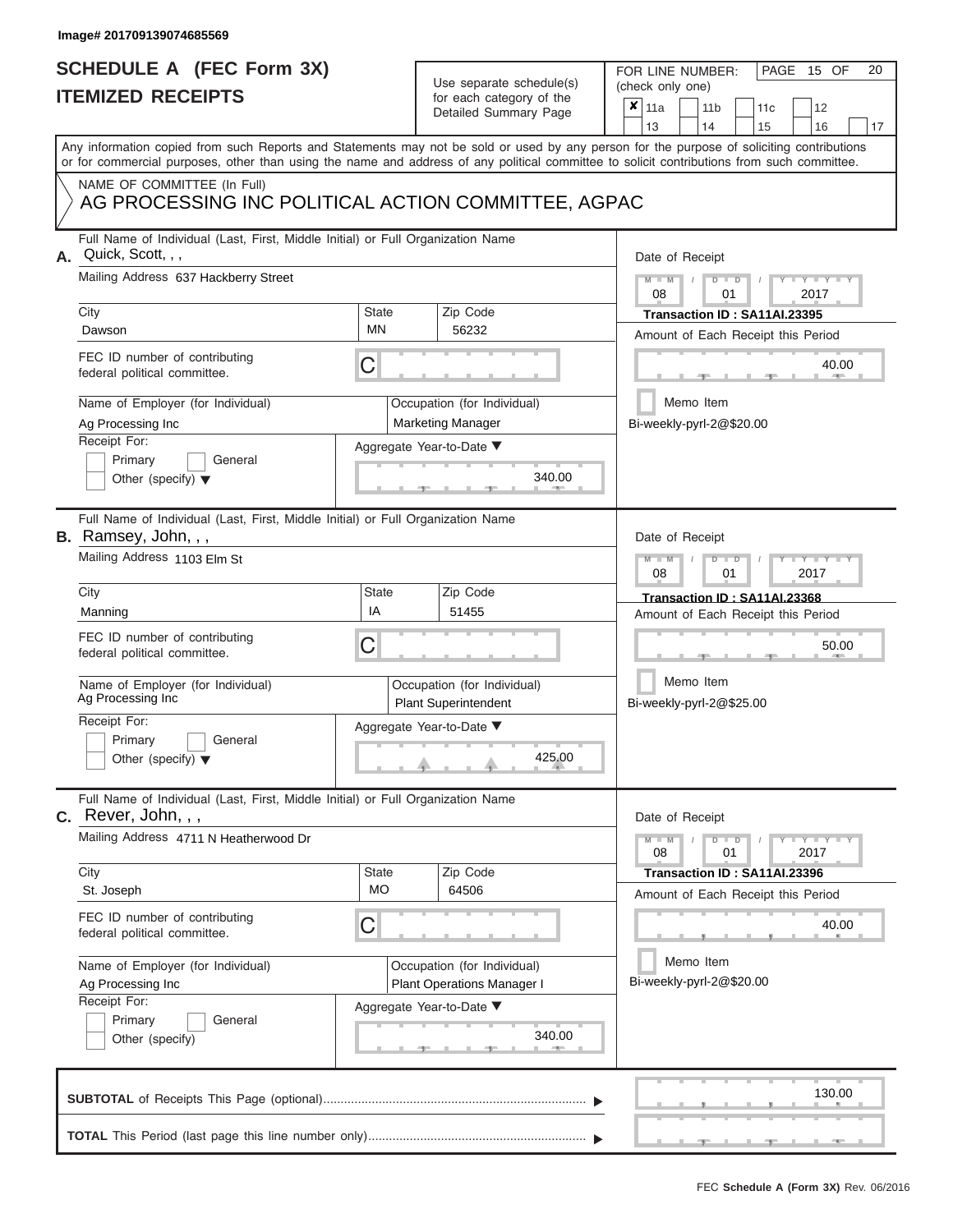### **SCHEDULE A (FEC Form 3X) ITEMIZED RECEIPTS**

# Use separate schedule(s)

| SCHEDULE A (FEC Form 3X)<br><b>ITEMIZED RECEIPTS</b>                                                                                               |                           | Use separate schedule(s)                                   | FOR LINE NUMBER:<br>PAGE 15 OF<br>20<br>(check only one)                                                                                  |  |  |  |  |
|----------------------------------------------------------------------------------------------------------------------------------------------------|---------------------------|------------------------------------------------------------|-------------------------------------------------------------------------------------------------------------------------------------------|--|--|--|--|
|                                                                                                                                                    |                           | for each category of the<br>Detailed Summary Page          | ×<br>11a<br>11 <sub>b</sub><br>12<br>11c<br>13<br>14<br>15<br>16<br>17                                                                    |  |  |  |  |
| or for commercial purposes, other than using the name and address of any political committee to solicit contributions from such committee.         |                           |                                                            | Any information copied from such Reports and Statements may not be sold or used by any person for the purpose of soliciting contributions |  |  |  |  |
| NAME OF COMMITTEE (In Full)<br>AG PROCESSING INC POLITICAL ACTION COMMITTEE, AGPAC                                                                 |                           |                                                            |                                                                                                                                           |  |  |  |  |
| Full Name of Individual (Last, First, Middle Initial) or Full Organization Name<br>Quick, Scott, , ,<br>Α.<br>Mailing Address 637 Hackberry Street |                           |                                                            | Date of Receipt<br>$M - M$<br>$D$ $D$<br>$Y - Y - I$                                                                                      |  |  |  |  |
| City<br>Dawson                                                                                                                                     | State<br>ΜN               | Zip Code<br>56232                                          | 08<br>2017<br>01<br>Transaction ID: SA11AI.23395<br>Amount of Each Receipt this Period                                                    |  |  |  |  |
| FEC ID number of contributing<br>federal political committee.                                                                                      | С                         |                                                            | 40.00                                                                                                                                     |  |  |  |  |
| Name of Employer (for Individual)<br>Ag Processing Inc<br>Receipt For:                                                                             |                           | Occupation (for Individual)<br><b>Marketing Manager</b>    | Memo Item<br>Bi-weekly-pyrl-2@\$20.00                                                                                                     |  |  |  |  |
| Primary<br>General<br>Other (specify) $\blacktriangledown$                                                                                         |                           | Aggregate Year-to-Date ▼<br>340.00<br><b>CONTRACTOR</b>    |                                                                                                                                           |  |  |  |  |
| Full Name of Individual (Last, First, Middle Initial) or Full Organization Name<br>B. Ramsey, John, , ,<br>Mailing Address 1103 Elm St             |                           |                                                            | Date of Receipt<br>$M - M$<br>$D$ $D$<br>Y I Y                                                                                            |  |  |  |  |
| City<br>Manning                                                                                                                                    | <b>State</b><br>IA        | Zip Code<br>51455                                          | 2017<br>08<br>01<br>Transaction ID: SA11AI.23368                                                                                          |  |  |  |  |
| FEC ID number of contributing<br>federal political committee.                                                                                      | С                         |                                                            | Amount of Each Receipt this Period<br>50.00                                                                                               |  |  |  |  |
| Name of Employer (for Individual)<br>Ag Processing Inc                                                                                             |                           | Occupation (for Individual)<br><b>Plant Superintendent</b> | Memo Item<br>Bi-weekly-pyrl-2@\$25.00                                                                                                     |  |  |  |  |
| Receipt For:<br>Primary<br>General<br>Other (specify) $\blacktriangledown$                                                                         |                           | Aggregate Year-to-Date ▼<br>425.00                         |                                                                                                                                           |  |  |  |  |
| Full Name of Individual (Last, First, Middle Initial) or Full Organization Name<br>C. Rever, John, , ,                                             |                           |                                                            | Date of Receipt                                                                                                                           |  |  |  |  |
| Mailing Address 4711 N Heatherwood Dr                                                                                                              |                           |                                                            | $\mathbf{I} = \mathbf{Y} + \mathbf{Y}$<br>$M - M$<br>$D$ $D$<br>08<br>01<br>2017                                                          |  |  |  |  |
| City<br>St. Joseph                                                                                                                                 | <b>State</b><br><b>MO</b> | Zip Code<br>64506                                          | Transaction ID : SA11AI.23396<br>Amount of Each Receipt this Period                                                                       |  |  |  |  |
| FEC ID number of contributing<br>federal political committee.                                                                                      | С                         |                                                            | 40.00                                                                                                                                     |  |  |  |  |
| Name of Employer (for Individual)<br>Ag Processing Inc<br>Receipt For:                                                                             |                           | Occupation (for Individual)<br>Plant Operations Manager I  | Memo Item<br>Bi-weekly-pyrl-2@\$20.00                                                                                                     |  |  |  |  |
| Primary<br>General<br>Other (specify)                                                                                                              |                           | Aggregate Year-to-Date ▼<br>340.00                         |                                                                                                                                           |  |  |  |  |
|                                                                                                                                                    |                           |                                                            | 130.00                                                                                                                                    |  |  |  |  |
|                                                                                                                                                    |                           |                                                            | $-9$<br>$-1$<br>$-1 -$                                                                                                                    |  |  |  |  |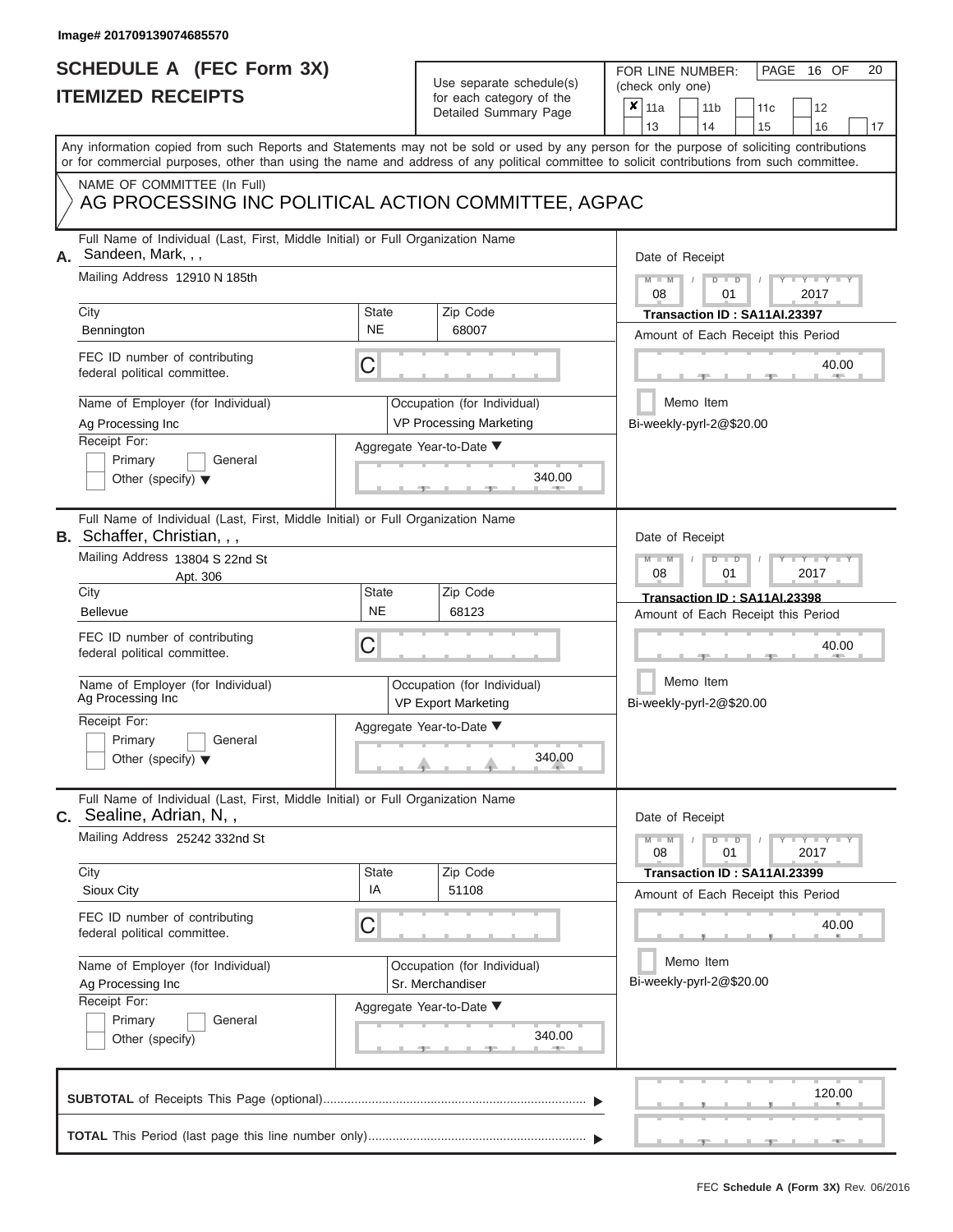# **SCHEDULE A (FEC Form 3X)**

| SCHEDULE A (FEC Form 3X)<br><b>ITEMIZED RECEIPTS</b>                                                                                                     |                           | Use separate schedule(s)<br>for each category of the<br>Detailed Summary Page                | 20<br>FOR LINE NUMBER:<br>PAGE 16 OF<br>(check only one)<br>$\boldsymbol{x}$<br>11a<br>11 <sub>b</sub><br>12<br>11 <sub>c</sub>                                                                                                                                                                                       |
|----------------------------------------------------------------------------------------------------------------------------------------------------------|---------------------------|----------------------------------------------------------------------------------------------|-----------------------------------------------------------------------------------------------------------------------------------------------------------------------------------------------------------------------------------------------------------------------------------------------------------------------|
| NAME OF COMMITTEE (In Full)                                                                                                                              |                           |                                                                                              | 13<br>14<br>15<br>16<br>17<br>Any information copied from such Reports and Statements may not be sold or used by any person for the purpose of soliciting contributions<br>or for commercial purposes, other than using the name and address of any political committee to solicit contributions from such committee. |
| AG PROCESSING INC POLITICAL ACTION COMMITTEE, AGPAC                                                                                                      |                           |                                                                                              |                                                                                                                                                                                                                                                                                                                       |
| Full Name of Individual (Last, First, Middle Initial) or Full Organization Name<br>Sandeen, Mark, , ,<br>Mailing Address 12910 N 185th                   |                           |                                                                                              | Date of Receipt<br>$M - M$ /<br>$D$ $D$<br>$\cdots$ Y $\cdots$ Y $\cdots$<br>08<br>01<br>2017                                                                                                                                                                                                                         |
| City<br>Bennington                                                                                                                                       | <b>State</b><br><b>NE</b> | Zip Code<br>68007                                                                            | Transaction ID: SA11AI.23397<br>Amount of Each Receipt this Period                                                                                                                                                                                                                                                    |
| FEC ID number of contributing<br>federal political committee.                                                                                            | C                         |                                                                                              | 40.00<br><b>ARCHITECT</b>                                                                                                                                                                                                                                                                                             |
| Name of Employer (for Individual)<br>Ag Processing Inc<br>Receipt For:<br>Primary<br>General<br>Other (specify) $\blacktriangledown$                     |                           | Occupation (for Individual)<br>VP Processing Marketing<br>Aggregate Year-to-Date ▼<br>340.00 | Memo Item<br>Bi-weekly-pyrl-2@\$20.00                                                                                                                                                                                                                                                                                 |
| Full Name of Individual (Last, First, Middle Initial) or Full Organization Name<br><b>B.</b> Schaffer, Christian, , ,<br>Mailing Address 13804 S 22nd St |                           |                                                                                              | Date of Receipt<br>$M - M$<br>$D$ $D$<br>$T - Y = T - T$                                                                                                                                                                                                                                                              |
| Apt. 306<br>City<br><b>Bellevue</b>                                                                                                                      | <b>State</b><br><b>NE</b> | Zip Code<br>68123                                                                            | 2017<br>08<br>01<br>Transaction ID: SA11AI.23398<br>Amount of Each Receipt this Period                                                                                                                                                                                                                                |
| FEC ID number of contributing<br>federal political committee.                                                                                            | C                         |                                                                                              | 40.00                                                                                                                                                                                                                                                                                                                 |
| Name of Employer (for Individual)<br>Ag Processing Inc                                                                                                   |                           | Occupation (for Individual)<br><b>VP Export Marketing</b>                                    | Memo Item<br>Bi-weekly-pyrl-2@\$20.00                                                                                                                                                                                                                                                                                 |
| Receipt For:<br>Primary<br>General<br>Other (specify) $\blacktriangledown$                                                                               |                           | Aggregate Year-to-Date ▼<br>340.00                                                           |                                                                                                                                                                                                                                                                                                                       |
| Full Name of Individual (Last, First, Middle Initial) or Full Organization Name<br>C. Sealine, Adrian, N,,                                               |                           |                                                                                              | Date of Receipt                                                                                                                                                                                                                                                                                                       |
| Mailing Address 25242 332nd St<br>City                                                                                                                   | State                     | Zip Code                                                                                     | $M - M$<br>$D$ $D$<br>$T - Y = -Y$<br>01<br>2017<br>08                                                                                                                                                                                                                                                                |
| Sioux City                                                                                                                                               | IA                        | 51108                                                                                        | Transaction ID: SA11AI.23399<br>Amount of Each Receipt this Period                                                                                                                                                                                                                                                    |
| FEC ID number of contributing<br>federal political committee.                                                                                            | C                         |                                                                                              | 40.00                                                                                                                                                                                                                                                                                                                 |
| Name of Employer (for Individual)<br>Ag Processing Inc                                                                                                   |                           | Occupation (for Individual)<br>Sr. Merchandiser                                              | Memo Item<br>Bi-weekly-pyrl-2@\$20.00                                                                                                                                                                                                                                                                                 |
| Receipt For:<br>Primary<br>General<br>Other (specify)                                                                                                    |                           | Aggregate Year-to-Date ▼<br>340.00                                                           |                                                                                                                                                                                                                                                                                                                       |
|                                                                                                                                                          |                           |                                                                                              | 120.00                                                                                                                                                                                                                                                                                                                |
|                                                                                                                                                          |                           |                                                                                              |                                                                                                                                                                                                                                                                                                                       |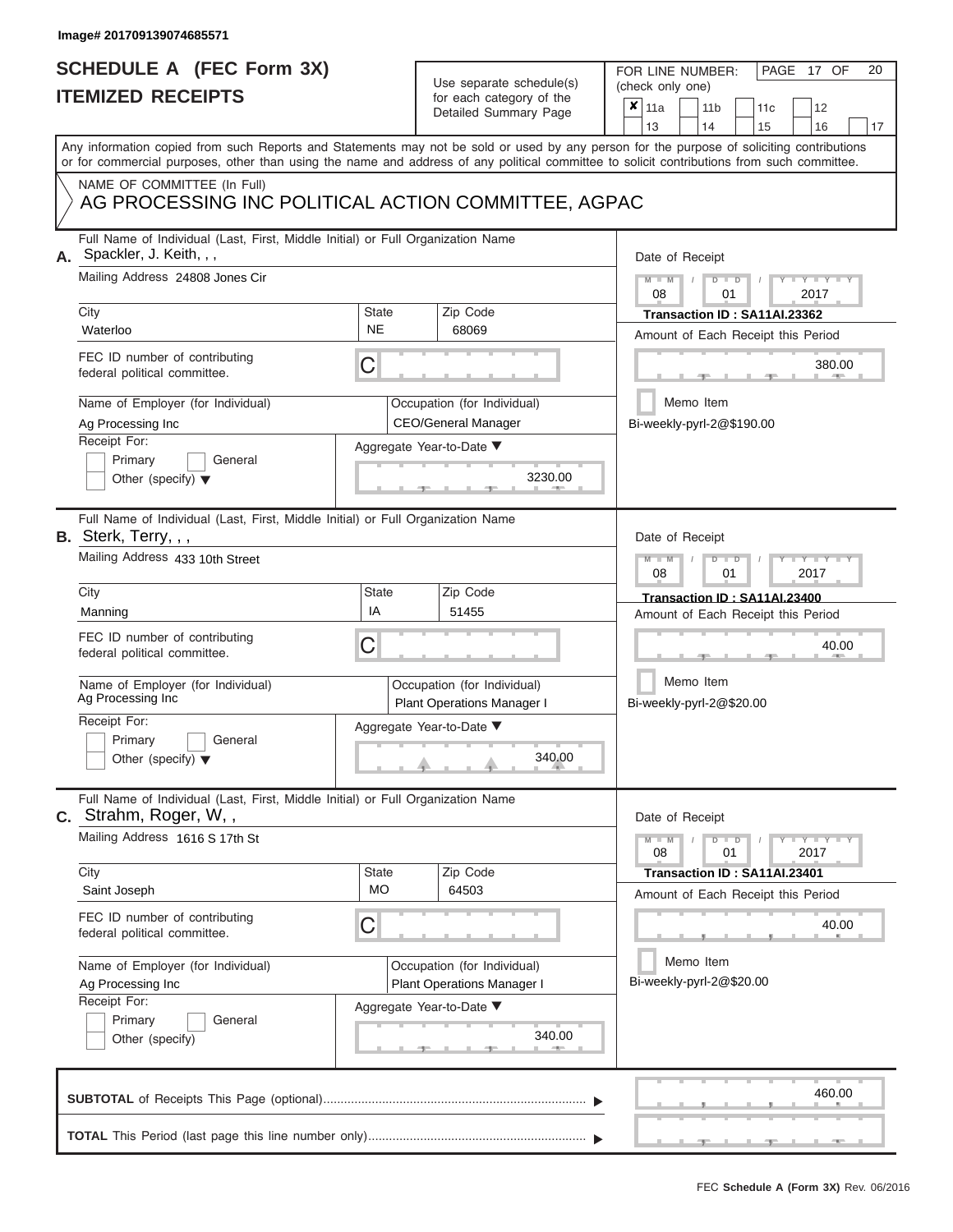# **SCHEDULE A (FEC Form 3X)**

# Use separate schedule(s)

| SCHEDULE A (FEC Form 3X)<br><b>ITEMIZED RECEIPTS</b><br>Any information copied from such Reports and Statements may not be sold or used by any person for the purpose of soliciting contributions                                        |                         | Use separate schedule(s)<br>for each category of the<br>Detailed Summary Page                          | FOR LINE NUMBER:<br>PAGE 17 OF<br>20<br>(check only one)<br>$\boldsymbol{x}$<br>11a<br>11 <sub>b</sub><br>12<br>11 <sub>c</sub>                                             |
|------------------------------------------------------------------------------------------------------------------------------------------------------------------------------------------------------------------------------------------|-------------------------|--------------------------------------------------------------------------------------------------------|-----------------------------------------------------------------------------------------------------------------------------------------------------------------------------|
|                                                                                                                                                                                                                                          |                         |                                                                                                        | 13<br>14<br>15<br>16<br>17                                                                                                                                                  |
|                                                                                                                                                                                                                                          |                         |                                                                                                        | or for commercial purposes, other than using the name and address of any political committee to solicit contributions from such committee.                                  |
| NAME OF COMMITTEE (In Full)<br>AG PROCESSING INC POLITICAL ACTION COMMITTEE, AGPAC                                                                                                                                                       |                         |                                                                                                        |                                                                                                                                                                             |
| Full Name of Individual (Last, First, Middle Initial) or Full Organization Name<br>Spackler, J. Keith, , ,<br>А.<br>Mailing Address 24808 Jones Cir<br>City<br>Waterloo<br>FEC ID number of contributing<br>federal political committee. | State<br><b>NE</b><br>С | Zip Code<br>68069                                                                                      | Date of Receipt<br>$M = M$ /<br>$D$ $D$<br>$Y - Y - I$<br>08<br>01<br>2017<br>Transaction ID: SA11AI.23362<br>Amount of Each Receipt this Period<br>380.00<br><b>AND IN</b> |
| Name of Employer (for Individual)<br>Ag Processing Inc<br>Receipt For:<br>Primary<br>General<br>Other (specify) $\blacktriangledown$                                                                                                     |                         | Occupation (for Individual)<br><b>CEO/General Manager</b><br>Aggregate Year-to-Date ▼<br>3230.00       | Memo Item<br>Bi-weekly-pyrl-2@\$190.00                                                                                                                                      |
| Full Name of Individual (Last, First, Middle Initial) or Full Organization Name<br>B. Sterk, Terry, , ,<br>Mailing Address 433 10th Street<br>City<br>Manning                                                                            | <b>State</b><br>IA      | Zip Code<br>51455                                                                                      | Date of Receipt<br>$M - M$<br>$D$ $D$<br>Y TYT<br>08<br>2017<br>01<br>Transaction ID: SA11AI.23400<br>Amount of Each Receipt this Period                                    |
| FEC ID number of contributing<br>federal political committee.<br>Name of Employer (for Individual)<br>Ag Processing Inc<br>Receipt For:<br>Primary<br>General<br>Other (specify) $\blacktriangledown$                                    | С                       | Occupation (for Individual)<br><b>Plant Operations Manager I</b><br>Aggregate Year-to-Date ▼<br>340.00 | 40.00<br>Memo Item<br>Bi-weekly-pyrl-2@\$20.00                                                                                                                              |
| Full Name of Individual (Last, First, Middle Initial) or Full Organization Name<br>C. Strahm, Roger, W,,<br>Mailing Address 1616 S 17th St<br>City                                                                                       | <b>State</b>            | Zip Code                                                                                               | Date of Receipt<br>$M - M$<br>$\mathbf{I} = \mathbf{Y} - \mathbf{I} - \mathbf{Y} - \mathbf{I}$<br>$D$ $D$<br>01<br>2017<br>08<br>Transaction ID: SA11AI.23401               |
| Saint Joseph<br>FEC ID number of contributing<br>federal political committee.                                                                                                                                                            | <b>MO</b><br>С          | 64503                                                                                                  | Amount of Each Receipt this Period<br>40.00                                                                                                                                 |
| Name of Employer (for Individual)<br>Ag Processing Inc<br>Receipt For:<br>Primary<br>General<br>Other (specify)                                                                                                                          |                         | Occupation (for Individual)<br>Plant Operations Manager I<br>Aggregate Year-to-Date ▼<br>340.00        | Memo Item<br>Bi-weekly-pyrl-2@\$20.00                                                                                                                                       |
|                                                                                                                                                                                                                                          |                         |                                                                                                        | 460.00                                                                                                                                                                      |
|                                                                                                                                                                                                                                          |                         |                                                                                                        |                                                                                                                                                                             |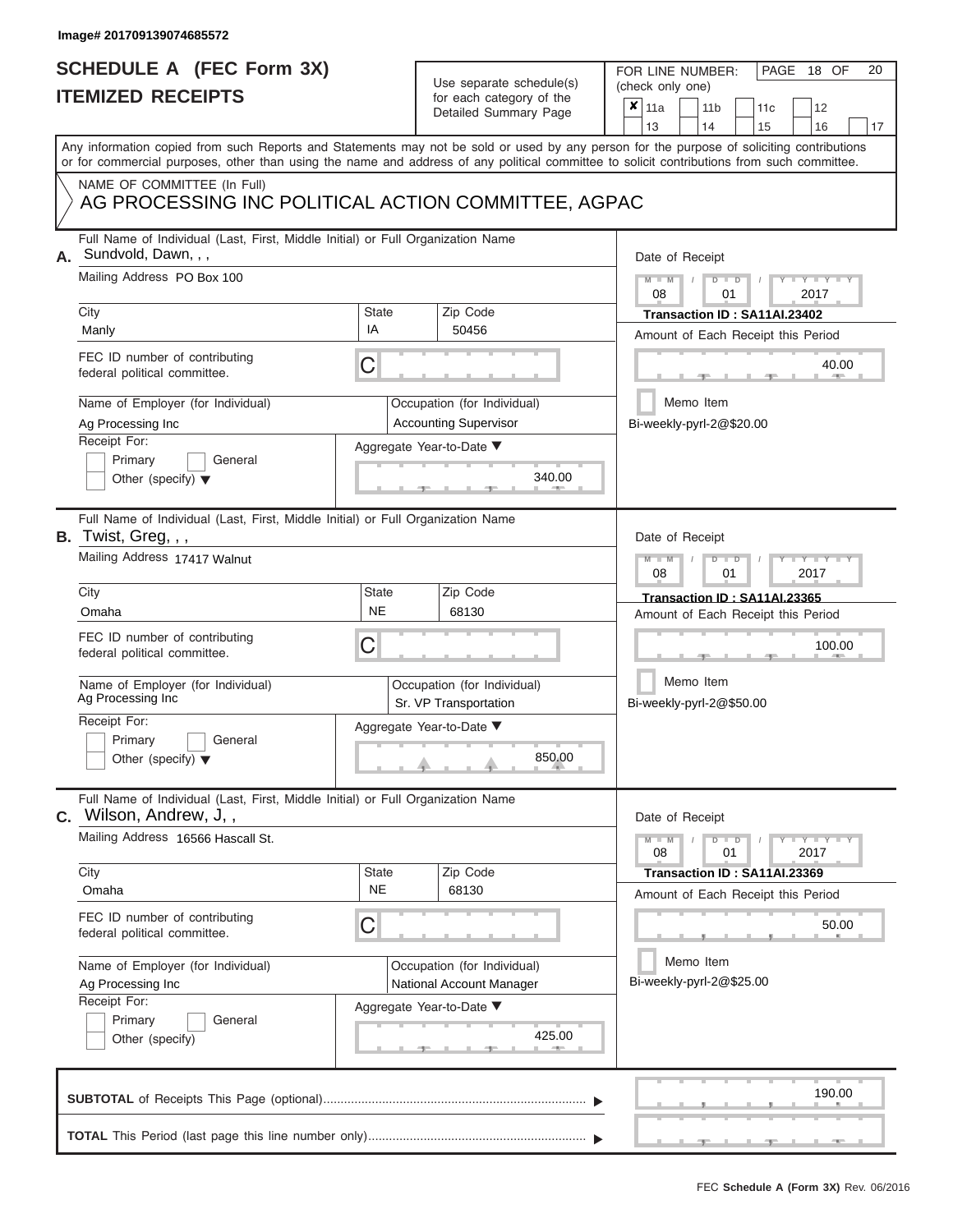## **SCHEDULE A (FEC Form 3X) ITEMIZED RECEIPTS**

| SCHEDULE A (FEC Form 3X)<br><b>ITEMIZED RECEIPTS</b>                                                                                       |                           | Use separate schedule(s)<br>for each category of the        | 20<br>FOR LINE NUMBER:<br>PAGE 18 OF<br>(check only one)                                                                                  |
|--------------------------------------------------------------------------------------------------------------------------------------------|---------------------------|-------------------------------------------------------------|-------------------------------------------------------------------------------------------------------------------------------------------|
|                                                                                                                                            |                           | Detailed Summary Page                                       | ×<br>11a<br>11 <sub>b</sub><br>12<br>11 <sub>c</sub><br>13<br>14<br>15<br>16<br>17                                                        |
| or for commercial purposes, other than using the name and address of any political committee to solicit contributions from such committee. |                           |                                                             | Any information copied from such Reports and Statements may not be sold or used by any person for the purpose of soliciting contributions |
| NAME OF COMMITTEE (In Full)<br>AG PROCESSING INC POLITICAL ACTION COMMITTEE, AGPAC                                                         |                           |                                                             |                                                                                                                                           |
| Full Name of Individual (Last, First, Middle Initial) or Full Organization Name<br>Sundvold, Dawn, , ,                                     |                           |                                                             | Date of Receipt                                                                                                                           |
| Mailing Address PO Box 100<br>City                                                                                                         | <b>State</b>              | Zip Code                                                    | $M - M$<br>$D$ $D$<br>Y TY T<br>08<br>2017<br>01<br>Transaction ID: SA11AI.23402                                                          |
| Manly                                                                                                                                      | IA                        | 50456                                                       | Amount of Each Receipt this Period                                                                                                        |
| FEC ID number of contributing<br>federal political committee.                                                                              | C                         |                                                             | 40.00                                                                                                                                     |
| Name of Employer (for Individual)<br>Ag Processing Inc                                                                                     |                           | Occupation (for Individual)<br><b>Accounting Supervisor</b> | Memo Item<br>Bi-weekly-pyrl-2@\$20.00                                                                                                     |
| Receipt For:<br>Primary<br>General<br>Other (specify) $\blacktriangledown$                                                                 |                           | Aggregate Year-to-Date ▼<br>340.00                          |                                                                                                                                           |
| Full Name of Individual (Last, First, Middle Initial) or Full Organization Name<br>B. Twist, Greg, , ,<br>Mailing Address 17417 Walnut     |                           |                                                             | Date of Receipt<br>$M - M$<br>$D$ $D$<br>Y I Y I                                                                                          |
|                                                                                                                                            |                           |                                                             | 2017<br>08<br>01                                                                                                                          |
| City<br>Omaha                                                                                                                              | State<br><b>NE</b>        | Zip Code<br>68130                                           | Transaction ID: SA11AI.23365<br>Amount of Each Receipt this Period                                                                        |
| FEC ID number of contributing<br>federal political committee.                                                                              | С                         |                                                             | 100.00                                                                                                                                    |
| Name of Employer (for Individual)<br>Ag Processing Inc                                                                                     |                           | Occupation (for Individual)<br>Sr. VP Transportation        | Memo Item<br>Bi-weekly-pyrl-2@\$50.00                                                                                                     |
| Receipt For:                                                                                                                               |                           | Aggregate Year-to-Date ▼                                    |                                                                                                                                           |
| Primary<br>General<br>Other (specify) $\blacktriangledown$                                                                                 |                           | 850.00                                                      |                                                                                                                                           |
| Full Name of Individual (Last, First, Middle Initial) or Full Organization Name<br>Wilson, Andrew, J,,<br>C.                               |                           |                                                             | Date of Receipt                                                                                                                           |
| Mailing Address 16566 Hascall St.                                                                                                          |                           |                                                             | $D$ $\Box$ $D$<br>$\mathbf{I} = \mathbf{Y} - \mathbf{I} - \mathbf{Y} - \mathbf{I}$<br>$M - M$<br>01<br>2017<br>08                         |
| City<br>Omaha                                                                                                                              | <b>State</b><br><b>NE</b> | Zip Code<br>68130                                           | Transaction ID: SA11AI.23369<br>Amount of Each Receipt this Period                                                                        |
| FEC ID number of contributing<br>federal political committee.                                                                              | С                         |                                                             | 50.00                                                                                                                                     |
| Name of Employer (for Individual)<br>Ag Processing Inc                                                                                     |                           | Occupation (for Individual)<br>National Account Manager     | Memo Item<br>Bi-weekly-pyrl-2@\$25.00                                                                                                     |
| Receipt For:<br>Primary<br>General<br>Other (specify)                                                                                      |                           | Aggregate Year-to-Date ▼<br>425.00                          |                                                                                                                                           |
|                                                                                                                                            |                           |                                                             | 190.00                                                                                                                                    |
|                                                                                                                                            |                           |                                                             | $-1$                                                                                                                                      |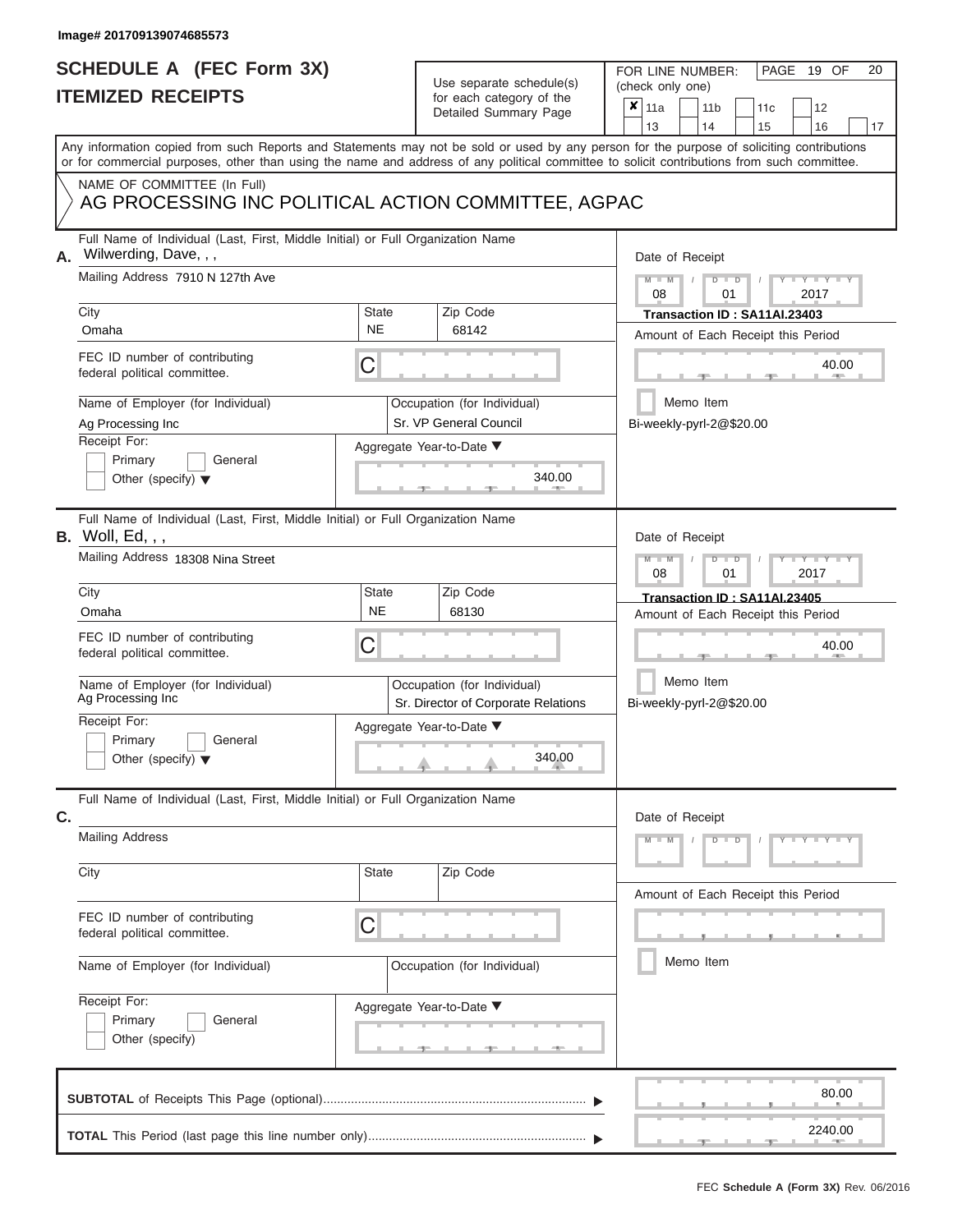# **SCHEDULE A (FEC Form 3X)**

# Use separate schedule(s)

| SCHEDULE A (FEC Form 3X)<br><b>ITEMIZED RECEIPTS</b>                                                                                                                                                                                                                                    |                             | Use separate schedule(s)<br>for each category of the<br>Detailed Summary Page | 20<br>FOR LINE NUMBER:<br>PAGE 19 OF<br>(check only one)<br>×<br>11a<br>11 <sub>b</sub><br>12<br>11c                                |
|-----------------------------------------------------------------------------------------------------------------------------------------------------------------------------------------------------------------------------------------------------------------------------------------|-----------------------------|-------------------------------------------------------------------------------|-------------------------------------------------------------------------------------------------------------------------------------|
|                                                                                                                                                                                                                                                                                         |                             |                                                                               | 13<br>16<br>14<br>15<br>17                                                                                                          |
| Any information copied from such Reports and Statements may not be sold or used by any person for the purpose of soliciting contributions<br>or for commercial purposes, other than using the name and address of any political committee to solicit contributions from such committee. |                             |                                                                               |                                                                                                                                     |
| NAME OF COMMITTEE (In Full)<br>AG PROCESSING INC POLITICAL ACTION COMMITTEE, AGPAC                                                                                                                                                                                                      |                             |                                                                               |                                                                                                                                     |
| Full Name of Individual (Last, First, Middle Initial) or Full Organization Name<br>Wilwerding, Dave, , ,<br>А.<br>Mailing Address 7910 N 127th Ave                                                                                                                                      |                             |                                                                               | Date of Receipt<br>$M - M$<br>$D$ $D$<br>Y TY T                                                                                     |
|                                                                                                                                                                                                                                                                                         |                             |                                                                               | 08<br>01<br>2017                                                                                                                    |
| City<br>Omaha                                                                                                                                                                                                                                                                           | State<br><b>NE</b>          | Zip Code<br>68142                                                             | Transaction ID: SA11AI.23403                                                                                                        |
|                                                                                                                                                                                                                                                                                         |                             |                                                                               | Amount of Each Receipt this Period                                                                                                  |
| FEC ID number of contributing<br>federal political committee.                                                                                                                                                                                                                           | С                           |                                                                               | 40.00                                                                                                                               |
| Name of Employer (for Individual)                                                                                                                                                                                                                                                       |                             | Occupation (for Individual)                                                   | Memo Item                                                                                                                           |
| Ag Processing Inc                                                                                                                                                                                                                                                                       |                             | Sr. VP General Council                                                        | Bi-weekly-pyrl-2@\$20.00                                                                                                            |
| Receipt For:<br>Primary<br>General                                                                                                                                                                                                                                                      |                             | Aggregate Year-to-Date ▼                                                      |                                                                                                                                     |
| Other (specify) $\blacktriangledown$                                                                                                                                                                                                                                                    |                             | 340.00                                                                        |                                                                                                                                     |
| Full Name of Individual (Last, First, Middle Initial) or Full Organization Name<br><b>B.</b> Woll, Ed, , ,                                                                                                                                                                              |                             |                                                                               | Date of Receipt                                                                                                                     |
| Mailing Address 18308 Nina Street                                                                                                                                                                                                                                                       |                             |                                                                               | $M - M$<br>$D$ $D$<br>$\blacksquare$ $\blacksquare$ $\blacksquare$ $\blacksquare$ $\blacksquare$ $\blacksquare$<br>2017<br>08<br>01 |
| City                                                                                                                                                                                                                                                                                    | State                       | Zip Code                                                                      | Transaction ID: SA11AI.23405                                                                                                        |
| Omaha                                                                                                                                                                                                                                                                                   | <b>NE</b>                   | 68130                                                                         | Amount of Each Receipt this Period                                                                                                  |
| FEC ID number of contributing<br>federal political committee.                                                                                                                                                                                                                           | С                           |                                                                               | 40.00                                                                                                                               |
| Name of Employer (for Individual)<br>Ag Processing Inc                                                                                                                                                                                                                                  | Occupation (for Individual) | Memo Item<br>Bi-weekly-pyrl-2@\$20.00                                         |                                                                                                                                     |
| Receipt For:                                                                                                                                                                                                                                                                            |                             | Sr. Director of Corporate Relations<br>Aggregate Year-to-Date ▼               |                                                                                                                                     |
| Primary<br>General<br>Other (specify) $\blacktriangledown$                                                                                                                                                                                                                              |                             | 340.00                                                                        |                                                                                                                                     |
| Full Name of Individual (Last, First, Middle Initial) or Full Organization Name<br>C.                                                                                                                                                                                                   |                             |                                                                               | Date of Receipt                                                                                                                     |
| <b>Mailing Address</b>                                                                                                                                                                                                                                                                  |                             |                                                                               | $M - M$<br>$D$ $D$<br>$Y - Y - Y - Y - Y$                                                                                           |
| City                                                                                                                                                                                                                                                                                    | State                       | Zip Code                                                                      | Amount of Each Receipt this Period                                                                                                  |
| FEC ID number of contributing<br>federal political committee.                                                                                                                                                                                                                           | С                           |                                                                               |                                                                                                                                     |
| Name of Employer (for Individual)                                                                                                                                                                                                                                                       |                             | Occupation (for Individual)                                                   | Memo Item                                                                                                                           |
| Receipt For:<br>Primary<br>General<br>Other (specify)                                                                                                                                                                                                                                   |                             | Aggregate Year-to-Date ▼<br><u>_______</u> ________                           |                                                                                                                                     |
|                                                                                                                                                                                                                                                                                         |                             |                                                                               | 80.00                                                                                                                               |
|                                                                                                                                                                                                                                                                                         |                             |                                                                               | 2240.00                                                                                                                             |